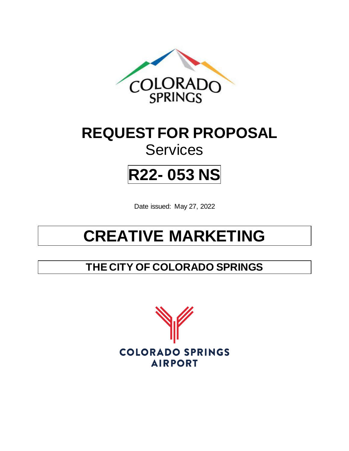

### **REQUEST FOR PROPOSAL Services**

# **R22- 053 NS**

Date issued: May 27, 2022

## **CREATIVE MARKETING**

### **THE CITY OF COLORADO SPRINGS**

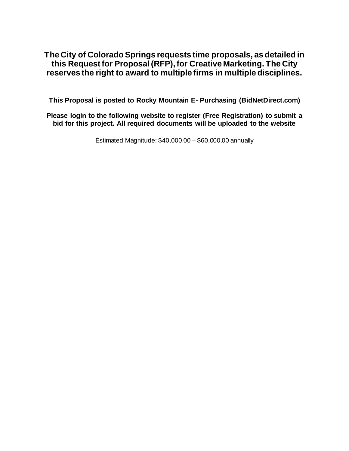### **The City of Colorado Springs requests time proposals, as detailed in this Request for Proposal (RFP), for Creative Marketing. The City reserves the right to award to multiple firms in multiple disciplines.**

**This Proposal is posted to Rocky Mountain E- Purchasing (BidNetDirect.com)** 

**Please login to the following website to register (Free Registration) to submit a bid for this project. All required documents will be uploaded to the website** 

Estimated Magnitude: \$40,000.00 – \$60,000.00 annually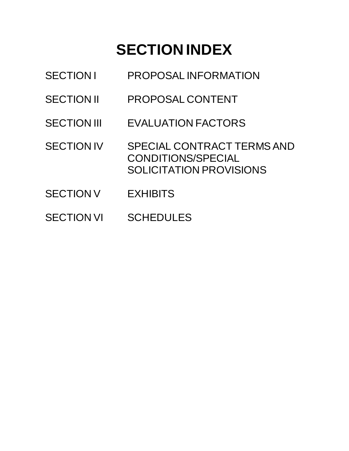# **SECTION INDEX**

| <b>SECTION I</b>   | PROPOSAL INFORMATION                                                               |
|--------------------|------------------------------------------------------------------------------------|
| <b>SECTION II</b>  | PROPOSAL CONTENT                                                                   |
| <b>SECTION III</b> | <b>EVALUATION FACTORS</b>                                                          |
| <b>SECTION IV</b>  | SPECIAL CONTRACT TERMS AND<br>CONDITIONS/SPECIAL<br><b>SOLICITATION PROVISIONS</b> |
| <b>SECTION V</b>   | <b>EXHIBITS</b>                                                                    |
| <b>SECTION VI</b>  | <b>SCHEDULES</b>                                                                   |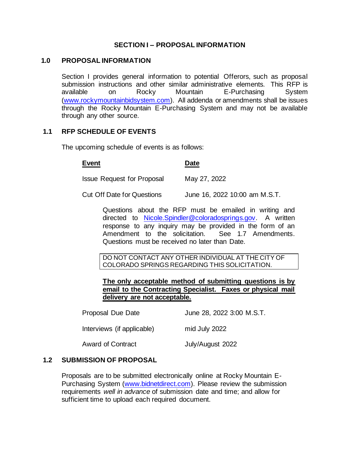#### **SECTION I – PROPOSAL INFORMATION**

#### **1.0 PROPOSAL INFORMATION**

Section I provides general information to potential Offerors, such as proposal submission instructions and other similar administrative elements. This RFP is available on Rocky Mountain E-Purchasing System [\(www.rockymountainbidsystem.com\)](http://www.rockymountainbidsystem.com/). All addenda or amendments shall be issues through the Rocky Mountain E-Purchasing System and may not be available through any other source.

#### **1.1 RFP SCHEDULE OF EVENTS**

The upcoming schedule of events is as follows:

#### **Event Date**

Issue Request for Proposal May 27, 2022

Cut Off Date for Questions June 16, 2022 10:00 am M.S.T.

Questions about the RFP must be emailed in writing and directed to [Nicole.Spindler@coloradosprings.gov.](mailto:Nicole.Spindler@coloradosprings.gov) A written response to any inquiry may be provided in the form of an Amendment to the solicitation. See 1.7 Amendments. Questions must be received no later than Date.

DO NOT CONTACT ANY OTHER INDIVIDUAL AT THE CITY OF COLORADO SPRINGS REGARDING THIS SOLICITATION.

**The only acceptable method of submitting questions is by email to the Contracting Specialist. Faxes or physical mail delivery are not acceptable.**

Proposal Due Date June 28, 2022 3:00 M.S.T.

Interviews (if applicable) mid July 2022

Award of Contract July/August 2022

#### **1.2 SUBMISSION OF PROPOSAL**

Proposals are to be submitted electronically online at Rocky Mountain E-Purchasing System [\(www.bidnetdirect.com\)](http://www.bidnetdirect.com/). Please review the submission requirements *well in advance* of submission date and time; and allow for sufficient time to upload each required document.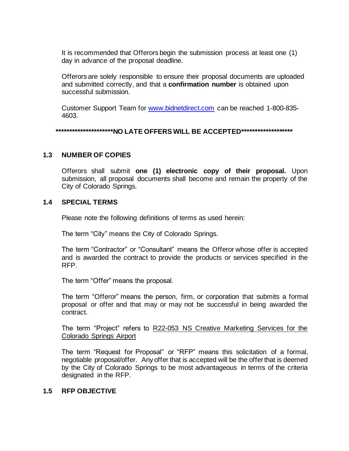It is recommended that Offerors begin the submission process at least one (1) day in advance of the proposal deadline.

Offerors are solely responsible to ensure their proposal documents are uploaded and submitted correctly, and that a **confirmation number** is obtained upon successful submission.

Customer Support Team for [www.bidnetdirect.com](http://www.bidnetdirect.com/) can be reached 1-800-835- 4603.

**\*\*\*\*\*\*\*\*\*\*\*\*\*\*\*\*\*\*\*\*\*NO LATE OFFERS WILL BE ACCEPTED\*\*\*\*\*\*\*\*\*\*\*\*\*\*\*\*\*\*\***

#### **1.3 NUMBER OF COPIES**

Offerors shall submit **one (1) electronic copy of their proposal.** Upon submission, all proposal documents shall become and remain the property of the City of Colorado Springs.

#### **1.4 SPECIAL TERMS**

Please note the following definitions of terms as used herein:

The term "City" means the City of Colorado Springs.

The term "Contractor" or "Consultant" means the Offeror whose offer is accepted and is awarded the contract to provide the products or services specified in the RFP.

The term "Offer" means the proposal.

The term "Offeror" means the person, firm, or corporation that submits a formal proposal or offer and that may or may not be successful in being awarded the contract.

The term "Project" refers to R22-053 NS Creative Marketing Services for the Colorado Springs Airport

The term "Request for Proposal" or "RFP" means this solicitation of a formal, negotiable proposal/offer. Any offer that is accepted will be the offer that is deemed by the City of Colorado Springs to be most advantageous in terms of the criteria designated in the RFP.

#### **1.5 RFP OBJECTIVE**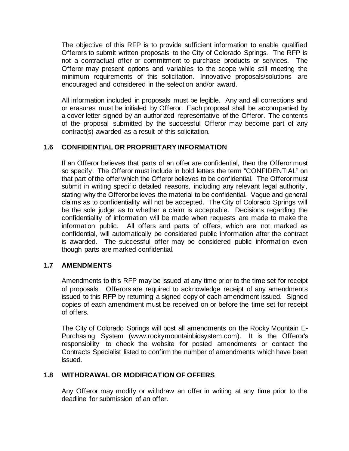The objective of this RFP is to provide sufficient information to enable qualified Offerors to submit written proposals to the City of Colorado Springs. The RFP is not a contractual offer or commitment to purchase products or services. The Offeror may present options and variables to the scope while still meeting the minimum requirements of this solicitation. Innovative proposals/solutions are encouraged and considered in the selection and/or award.

All information included in proposals must be legible. Any and all corrections and or erasures must be initialed by Offeror. Each proposal shall be accompanied by a cover letter signed by an authorized representative of the Offeror. The contents of the proposal submitted by the successful Offeror may become part of any contract(s) awarded as a result of this solicitation.

#### **1.6 CONFIDENTIAL OR PROPRIETARY INFORMATION**

If an Offeror believes that parts of an offer are confidential, then the Offeror must so specify. The Offeror must include in bold letters the term "CONFIDENTIAL" on that part of the offer which the Offerorbelieves to be confidential. The Offerormust submit in writing specific detailed reasons, including any relevant legal authority, stating why the Offeror believes the material to be confidential. Vague and general claims as to confidentiality will not be accepted. The City of Colorado Springs will be the sole judge as to whether a claim is acceptable. Decisions regarding the confidentiality of information will be made when requests are made to make the information public. All offers and parts of offers, which are not marked as confidential, will automatically be considered public information after the contract is awarded. The successful offer may be considered public information even though parts are marked confidential.

#### **1.7 AMENDMENTS**

Amendments to this RFP may be issued at any time prior to the time set for receipt of proposals. Offerors are required to acknowledge receipt of any amendments issued to this RFP by returning a signed copy of each amendment issued. Signed copies of each amendment must be received on or before the time set for receipt of offers.

The City of Colorado Springs will post all amendments on the [Rocky Mountain E-](http://www.rockymountainbidsystem.com/)[Purchasing System](http://www.rockymountainbidsystem.com/) (www.rockymountainbidsystem.com). It is the Offeror's responsibility to check the website for posted amendments or contact the Contracts Specialist listed to confirm the number of amendments which have been issued.

#### **1.8 WITHDRAWAL OR MODIFICATION OF OFFERS**

Any Offeror may modify or withdraw an offer in writing at any time prior to the deadline for submission of an offer.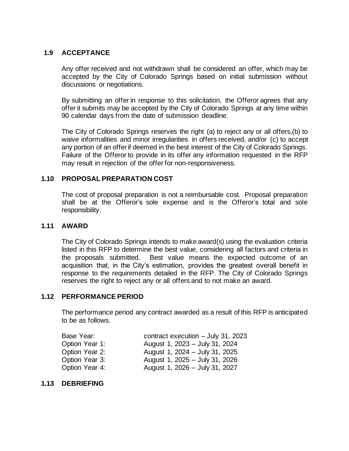#### **1.9 ACCEPTANCE**

Any offer received and not withdrawn shall be considered an offer, which may be accepted by the City of Colorado Springs based on initial submission without discussions or negotiations.

By submitting an offer in response to this solicitation, the Offeror agrees that any offer it submits may be accepted by the City of Colorado Springs at any time within 90 calendar days from the date of submission deadline.

The City of Colorado Springs reserves the right (a) to reject any or all offers,(b) to waive informalities and minor irregularities in offers received, and/or (c) to accept any portion of an offer if deemed in the best interest of the City of Colorado Springs. Failure of the Offeror to provide in its offer any information requested in the RFP may result in rejection of the offer for non-responsiveness.

#### **1.10 PROPOSAL PREPARATION COST**

The cost of proposal preparation is not a reimbursable cost. Proposal preparation shall be at the Offeror's sole expense and is the Offeror's total and sole responsibility.

#### **1.11 AWARD**

The City of Colorado Springs intends to make award(s) using the evaluation criteria listed in this RFP to determine the best value, considering all factors and criteria in the proposals submitted. Best value means the expected outcome of an acquisition that, in the City's estimation, provides the greatest overall benefit in response to the requirements detailed in the RFP. The City of Colorado Springs reserves the right to reject any or all offers and to not make an award.

#### **1.12 PERFORMANCE PERIOD**

The performance period any contract awarded as a result of this RFP is anticipated to be as follows.

| Base Year:     | contract execution $-$ July 31, 2023 |
|----------------|--------------------------------------|
| Option Year 1: | August 1, 2023 - July 31, 2024       |
| Option Year 2: | August 1, 2024 - July 31, 2025       |
| Option Year 3: | August 1, 2025 - July 31, 2026       |
| Option Year 4: | August 1, 2026 - July 31, 2027       |

#### **1.13 DEBRIEFING**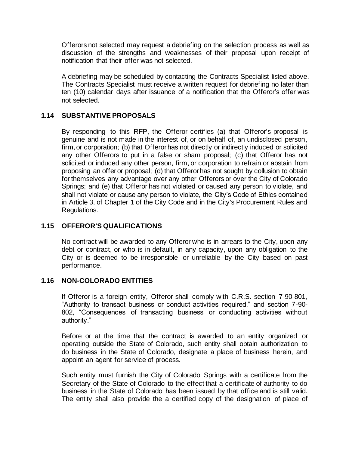Offerors not selected may request a debriefing on the selection process as well as discussion of the strengths and weaknesses of their proposal upon receipt of notification that their offer was not selected.

A debriefing may be scheduled by contacting the Contracts Specialist listed above. The Contracts Specialist must receive a written request for debriefing no later than ten (10) calendar days after issuance of a notification that the Offeror's offer was not selected.

#### **1.14 SUBSTANTIVE PROPOSALS**

By responding to this RFP, the Offeror certifies (a) that Offeror's proposal is genuine and is not made in the interest of, or on behalf of, an undisclosed person, firm, or corporation; (b) that Offeror has not directly or indirectly induced or solicited any other Offerors to put in a false or sham proposal; (c) that Offeror has not solicited or induced any other person, firm, or corporation to refrain or abstain from proposing an offer or proposal; (d) that Offerorhas not sought by collusion to obtain for themselves any advantage over any other Offerors or over the City of Colorado Springs; and (e) that Offeror has not violated or caused any person to violate, and shall not violate or cause any person to violate, the City's Code of Ethics contained in Article 3, of Chapter 1 of the City Code and in the City's Procurement Rules and Regulations.

#### **1.15 OFFEROR'S QUALIFICATIONS**

No contract will be awarded to any Offeror who is in arrears to the City, upon any debt or contract, or who is in default, in any capacity, upon any obligation to the City or is deemed to be irresponsible or unreliable by the City based on past performance.

#### **1.16 NON-COLORADO ENTITIES**

If Offeror is a foreign entity, Offeror shall comply with C.R.S. section 7-90-801, "Authority to transact business or conduct activities required," and section 7-90- 802, "Consequences of transacting business or conducting activities without authority."

Before or at the time that the contract is awarded to an entity organized or operating outside the State of Colorado, such entity shall obtain authorization to do business in the State of Colorado, designate a place of business herein, and appoint an agent for service of process.

Such entity must furnish the City of Colorado Springs with a certificate from the Secretary of the State of Colorado to the effect that a certificate of authority to do business in the State of Colorado has been issued by that office and is still valid. The entity shall also provide the a certified copy of the designation of place of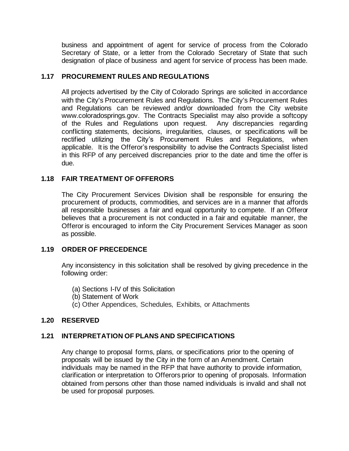business and appointment of agent for service of process from the Colorado Secretary of State, or a letter from the Colorado Secretary of State that such designation of place of business and agent for service of process has been made.

#### **1.17 PROCUREMENT RULES AND REGULATIONS**

All projects advertised by the City of Colorado Springs are solicited in accordance with the City's Procurement Rules and Regulations. The City's Procurement Rules and Regulations can be reviewed and/or downloaded from the City website www.coloradosprings.gov. The Contracts Specialist may also provide a softcopy of the Rules and Regulations upon request. Any discrepancies regarding conflicting statements, decisions, irregularities, clauses, or specifications will be rectified utilizing the City's Procurement Rules and Regulations, when applicable. It is the Offeror's responsibility to advise the Contracts Specialist listed in this RFP of any perceived discrepancies prior to the date and time the offer is due.

#### **1.18 FAIR TREATMENT OF OFFERORS**

The City Procurement Services Division shall be responsible for ensuring the procurement of products, commodities, and services are in a manner that affords all responsible businesses a fair and equal opportunity to compete. If an Offeror believes that a procurement is not conducted in a fair and equitable manner, the Offeror is encouraged to inform the City Procurement Services Manager as soon as possible.

#### **1.19 ORDER OF PRECEDENCE**

Any inconsistency in this solicitation shall be resolved by giving precedence in the following order:

- (a) Sections I-IV of this Solicitation
- (b) Statement of Work
- (c) Other Appendices, Schedules, Exhibits, or Attachments

#### **1.20 RESERVED**

#### **1.21 INTERPRETATION OF PLANS AND SPECIFICATIONS**

Any change to proposal forms, plans, or specifications prior to the opening of proposals will be issued by the City in the form of an Amendment. Certain individuals may be named in the RFP that have authority to provide information, clarification or interpretation to Offerors prior to opening of proposals. Information obtained from persons other than those named individuals is invalid and shall not be used for proposal purposes.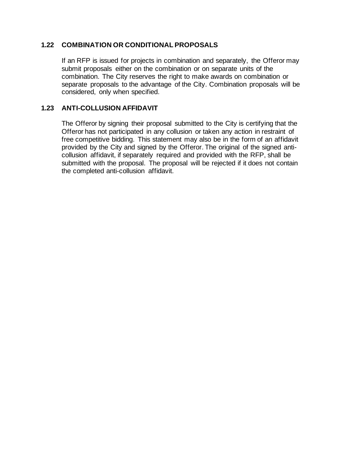#### **1.22 COMBINATION OR CONDITIONAL PROPOSALS**

If an RFP is issued for projects in combination and separately, the Offeror may submit proposals either on the combination or on separate units of the combination. The City reserves the right to make awards on combination or separate proposals to the advantage of the City. Combination proposals will be considered, only when specified.

#### **1.23 ANTI-COLLUSION AFFIDAVIT**

The Offeror by signing their proposal submitted to the City is certifying that the Offeror has not participated in any collusion or taken any action in restraint of free competitive bidding. This statement may also be in the form of an affidavit provided by the City and signed by the Offeror. The original of the signed anticollusion affidavit, if separately required and provided with the RFP, shall be submitted with the proposal. The proposal will be rejected if it does not contain the completed anti-collusion affidavit.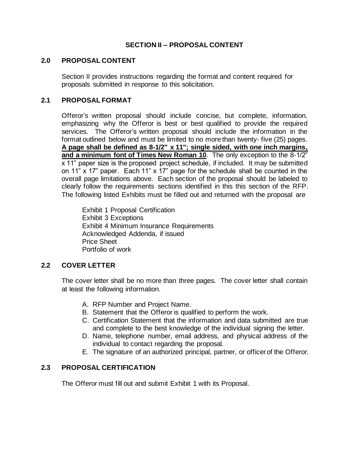#### **SECTION II – PROPOSAL CONTENT**

#### **2.0 PROPOSAL CONTENT**

Section II provides instructions regarding the format and content required for proposals submitted in response to this solicitation.

#### **2.1 PROPOSAL FORMAT**

Offeror's written proposal should include concise, but complete, information, emphasizing why the Offeror is best or best qualified to provide the required services. The Offeror's written proposal should include the information in the format outlined below and must be limited to no more than twenty- five (25) pages. **A page shall be defined as 8-1/2" x 11"; single sided, with one inch margins, and a minimum font of Times New Roman 10**. The only exception to the 8-1/2" x 11" paper size is the proposed project schedule, if included. It may be submitted on 11" x 17" paper. Each 11" x 17" page for the schedule shall be counted in the overall page limitations above. Each section of the proposal should be labeled to clearly follow the requirements sections identified in this this section of the RFP. The following listed Exhibits must be filled out and returned with the proposal are

Exhibit 1 Proposal Certification Exhibit 3 Exceptions Exhibit 4 Minimum Insurance Requirements Acknowledged Addenda, if issued Price Sheet Portfolio of work

#### **2.2 COVER LETTER**

The cover letter shall be no more than three pages. The cover letter shall contain at least the following information.

- A. RFP Number and Project Name.
- B. Statement that the Offeror is qualified to perform the work.
- C. Certification Statement that the information and data submitted are true and complete to the best knowledge of the individual signing the letter.
- D. Name, telephone number, email address, and physical address of the individual to contact regarding the proposal.
- E. The signature of an authorized principal, partner, or officer of the Offeror.

#### **2.3 PROPOSAL CERTIFICATION**

The Offeror must fill out and submit Exhibit 1 with its Proposal.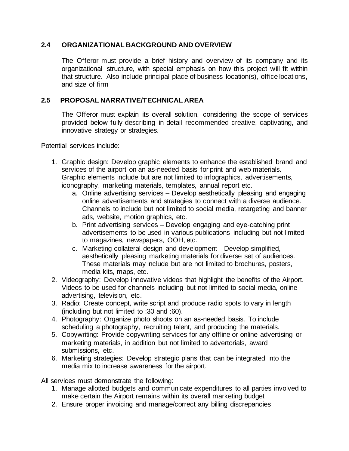#### **2.4 ORGANIZATIONAL BACKGROUND AND OVERVIEW**

The Offeror must provide a brief history and overview of its company and its organizational structure, with special emphasis on how this project will fit within that structure. Also include principal place of business location(s), office locations, and size of firm

#### **2.5 PROPOSAL NARRATIVE/TECHNICAL AREA**

The Offeror must explain its overall solution, considering the scope of services provided below fully describing in detail recommended creative, captivating, and innovative strategy or strategies.

Potential services include:

- 1. Graphic design: Develop graphic elements to enhance the established brand and services of the airport on an as-needed basis for print and web materials. Graphic elements include but are not limited to infographics, advertisements, iconography, marketing materials, templates, annual report etc.
	- a. Online advertising services Develop aesthetically pleasing and engaging online advertisements and strategies to connect with a diverse audience. Channels to include but not limited to social media, retargeting and banner ads, website, motion graphics, etc.
	- b. Print advertising services Develop engaging and eye-catching print advertisements to be used in various publications including but not limited to magazines, newspapers, OOH, etc.
	- c. Marketing collateral design and development Develop simplified, aesthetically pleasing marketing materials for diverse set of audiences. These materials may include but are not limited to brochures, posters, media kits, maps, etc.
- 2. Videography: Develop innovative videos that highlight the benefits of the Airport. Videos to be used for channels including but not limited to social media, online advertising, television, etc.
- 3. Radio: Create concept, write script and produce radio spots to vary in length (including but not limited to :30 and :60).
- 4. Photography: Organize photo shoots on an as-needed basis. To include scheduling a photography, recruiting talent, and producing the materials.
- 5. Copywriting: Provide copywriting services for any offline or online advertising or marketing materials, in addition but not limited to advertorials, award submissions, etc.
- 6. Marketing strategies: Develop strategic plans that can be integrated into the media mix to increase awareness for the airport.

All services must demonstrate the following:

- 1. Manage allotted budgets and communicate expenditures to all parties involved to make certain the Airport remains within its overall marketing budget
- 2. Ensure proper invoicing and manage/correct any billing discrepancies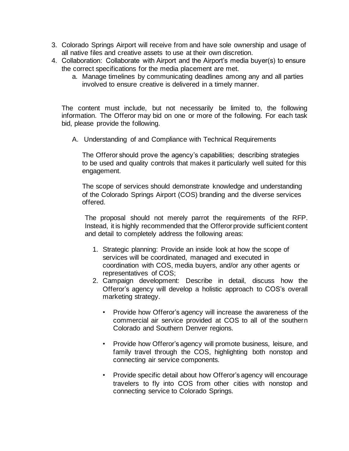- 3. Colorado Springs Airport will receive from and have sole ownership and usage of all native files and creative assets to use at their own discretion.
- 4. Collaboration: Collaborate with Airport and the Airport's media buyer(s) to ensure the correct specifications for the media placement are met.
	- a. Manage timelines by communicating deadlines among any and all parties involved to ensure creative is delivered in a timely manner.

The content must include, but not necessarily be limited to, the following information. The Offeror may bid on one or more of the following. For each task bid, please provide the following.

A. Understanding of and Compliance with Technical Requirements

The Offeror should prove the agency's capabilities; describing strategies to be used and quality controls that makes it particularly well suited for this engagement.

The scope of services should demonstrate knowledge and understanding of the Colorado Springs Airport (COS) branding and the diverse services offered.

The proposal should not merely parrot the requirements of the RFP. Instead, it is highly recommended that the Offeror provide sufficient content and detail to completely address the following areas:

- 1. Strategic planning: Provide an inside look at how the scope of services will be coordinated, managed and executed in coordination with COS, media buyers, and/or any other agents or representatives of COS;
- 2. Campaign development: Describe in detail, discuss how the Offeror's agency will develop a holistic approach to COS's overall marketing strategy.
	- Provide how Offeror's agency will increase the awareness of the commercial air service provided at COS to all of the southern Colorado and Southern Denver regions.
	- Provide how Offeror's agency will promote business, leisure, and family travel through the COS, highlighting both nonstop and connecting air service components.
	- Provide specific detail about how Offeror's agency will encourage travelers to fly into COS from other cities with nonstop and connecting service to Colorado Springs.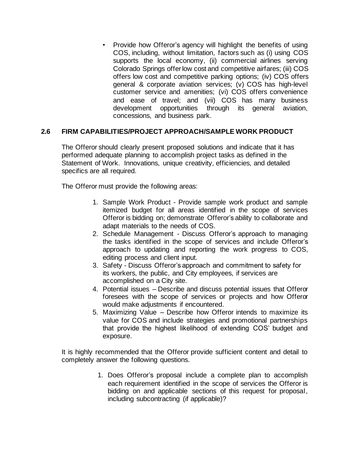• Provide how Offeror's agency will highlight the benefits of using COS, including, without limitation, factors such as (i) using COS supports the local economy, (ii) commercial airlines serving Colorado Springs offer low cost and competitive airfares; (iii) COS offers low cost and competitive parking options; (iv) COS offers general & corporate aviation services; (v) COS has high-level customer service and amenities; (vi) COS offers convenience and ease of travel; and (vii) COS has many business development opportunities through its general aviation, concessions, and business park.

#### **2.6 FIRM CAPABILITIES/PROJECT APPROACH/SAMPLE WORK PRODUCT**

The Offeror should clearly present proposed solutions and indicate that it has performed adequate planning to accomplish project tasks as defined in the Statement of Work. Innovations, unique creativity, efficiencies, and detailed specifics are all required.

The Offeror must provide the following areas:

- 1. Sample Work Product Provide sample work product and sample itemized budget for all areas identified in the scope of services Offeror is bidding on; demonstrate Offeror's ability to collaborate and adapt materials to the needs of COS.
- 2. Schedule Management Discuss Offeror's approach to managing the tasks identified in the scope of services and include Offeror's approach to updating and reporting the work progress to COS, editing process and client input.
- 3. Safety Discuss Offeror's approach and commitment to safety for its workers, the public, and City employees, if services are accomplished on a City site.
- 4. Potential issues Describe and discuss potential issues that Offeror foresees with the scope of services or projects and how Offeror would make adjustments if encountered.
- 5. Maximizing Value Describe how Offeror intends to maximize its value for COS and include strategies and promotional partnerships that provide the highest likelihood of extending COS' budget and exposure.

It is highly recommended that the Offeror provide sufficient content and detail to completely answer the following questions.

> 1. Does Offeror's proposal include a complete plan to accomplish each requirement identified in the scope of services the Offeror is bidding on and applicable sections of this request for proposal, including subcontracting (if applicable)?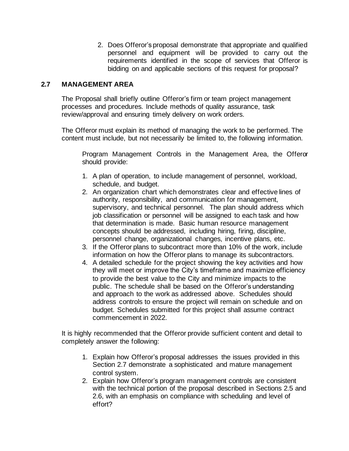2. Does Offeror's proposal demonstrate that appropriate and qualified personnel and equipment will be provided to carry out the requirements identified in the scope of services that Offeror is bidding on and applicable sections of this request for proposal?

#### **2.7 MANAGEMENT AREA**

The Proposal shall briefly outline Offeror's firm or team project management processes and procedures. Include methods of quality assurance, task review/approval and ensuring timely delivery on work orders.

The Offeror must explain its method of managing the work to be performed. The content must include, but not necessarily be limited to, the following information.

Program Management Controls in the Management Area, the Offeror should provide:

- 1. A plan of operation, to include management of personnel, workload, schedule, and budget.
- 2. An organization chart which demonstrates clear and effective lines of authority, responsibility, and communication for management, supervisory, and technical personnel. The plan should address which job classification or personnel will be assigned to each task and how that determination is made. Basic human resource management concepts should be addressed, including hiring, firing, discipline, personnel change, organizational changes, incentive plans, etc.
- 3. If the Offeror plans to subcontract more than 10% of the work, include information on how the Offeror plans to manage its subcontractors.
- 4. A detailed schedule for the project showing the key activities and how they will meet or improve the City's timeframe and maximize efficiency to provide the best value to the City and minimize impacts to the public. The schedule shall be based on the Offeror's understanding and approach to the work as addressed above. Schedules should address controls to ensure the project will remain on schedule and on budget. Schedules submitted for this project shall assume contract commencement in 2022.

It is highly recommended that the Offeror provide sufficient content and detail to completely answer the following:

- 1. Explain how Offeror's proposal addresses the issues provided in this Section 2.7 demonstrate a sophisticated and mature management control system.
- 2. Explain how Offeror's program management controls are consistent with the technical portion of the proposal described in Sections 2.5 and 2.6, with an emphasis on compliance with scheduling and level of effort?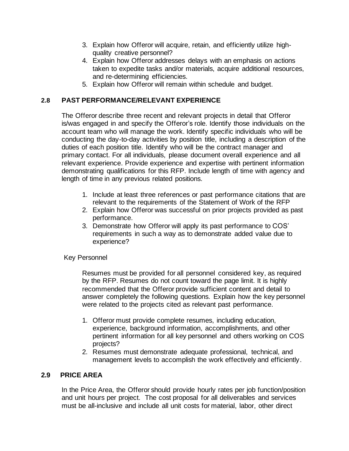- 3. Explain how Offeror will acquire, retain, and efficiently utilize highquality creative personnel?
- 4. Explain how Offeror addresses delays with an emphasis on actions taken to expedite tasks and/or materials, acquire additional resources, and re-determining efficiencies.
- 5. Explain how Offeror will remain within schedule and budget.

#### **2.8 PAST PERFORMANCE/RELEVANT EXPERIENCE**

The Offeror describe three recent and relevant projects in detail that Offeror is/was engaged in and specify the Offeror's role. Identify those individuals on the account team who will manage the work. Identify specific individuals who will be conducting the day-to-day activities by position title, including a description of the duties of each position title. Identify who will be the contract manager and primary contact. For all individuals, please document overall experience and all relevant experience. Provide experience and expertise with pertinent information demonstrating qualifications for this RFP. Include length of time with agency and length of time in any previous related positions.

- 1. Include at least three references or past performance citations that are relevant to the requirements of the Statement of Work of the RFP
- 2. Explain how Offeror was successful on prior projects provided as past performance.
- 3. Demonstrate how Offeror will apply its past performance to COS' requirements in such a way as to demonstrate added value due to experience?

#### Key Personnel

Resumes must be provided for all personnel considered key, as required by the RFP. Resumes do not count toward the page limit. It is highly recommended that the Offeror provide sufficient content and detail to answer completely the following questions. Explain how the key personnel were related to the projects cited as relevant past performance.

- 1. Offeror must provide complete resumes, including education, experience, background information, accomplishments, and other pertinent information for all key personnel and others working on COS projects?
- 2. Resumes must demonstrate adequate professional, technical, and management levels to accomplish the work effectively and efficiently.

#### **2.9 PRICE AREA**

In the Price Area, the Offeror should provide hourly rates per job function/position and unit hours per project. The cost proposal for all deliverables and services must be all-inclusive and include all unit costs for material, labor, other direct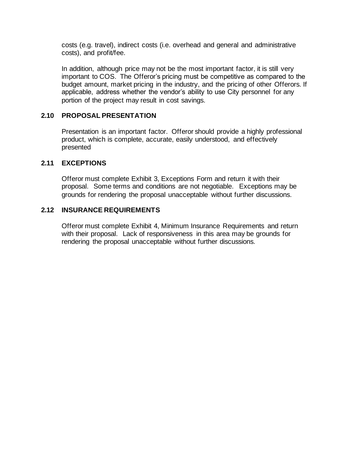costs (e.g. travel), indirect costs (i.e. overhead and general and administrative costs), and profit/fee.

In addition, although price may not be the most important factor, it is still very important to COS. The Offeror's pricing must be competitive as compared to the budget amount, market pricing in the industry, and the pricing of other Offerors. If applicable, address whether the vendor's ability to use City personnel for any portion of the project may result in cost savings.

#### **2.10 PROPOSAL PRESENTATION**

Presentation is an important factor. Offeror should provide a highly professional product, which is complete, accurate, easily understood, and effectively presented

#### **2.11 EXCEPTIONS**

Offeror must complete Exhibit 3, Exceptions Form and return it with their proposal. Some terms and conditions are not negotiable. Exceptions may be grounds for rendering the proposal unacceptable without further discussions.

#### **2.12 INSURANCE REQUIREMENTS**

Offeror must complete Exhibit 4, Minimum Insurance Requirements and return with their proposal. Lack of responsiveness in this area may be grounds for rendering the proposal unacceptable without further discussions.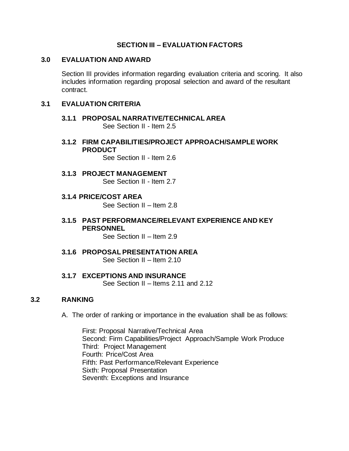#### **SECTION III – EVALUATION FACTORS**

#### **3.0 EVALUATION AND AWARD**

Section III provides information regarding evaluation criteria and scoring. It also includes information regarding proposal selection and award of the resultant contract.

#### **3.1 EVALUATION CRITERIA**

#### **3.1.1 PROPOSAL NARRATIVE/TECHNICAL AREA** See Section II - Item 2.5

**3.1.2 FIRM CAPABILITIES/PROJECT APPROACH/SAMPLE WORK PRODUCT**

See Section II - Item 2.6

**3.1.3 PROJECT MANAGEMENT**  See Section II - Item 2.7

#### **3.1.4 PRICE/COST AREA**

See Section II – Item 2.8

#### **3.1.5 PAST PERFORMANCE/RELEVANT EXPERIENCE AND KEY PERSONNEL**

See Section II – Item 2.9

#### **3.1.6 PROPOSAL PRESENTATION AREA**  See Section II – Item 2.10

### **3.1.7 EXCEPTIONS AND INSURANCE**

See Section II – Items 2.11 and 2.12

#### **3.2 RANKING**

A. The order of ranking or importance in the evaluation shall be as follows:

First: Proposal Narrative/Technical Area Second: Firm Capabilities/Project Approach/Sample Work Produce Third: Project Management Fourth: Price/Cost Area Fifth: Past Performance/Relevant Experience Sixth: Proposal Presentation Seventh: Exceptions and Insurance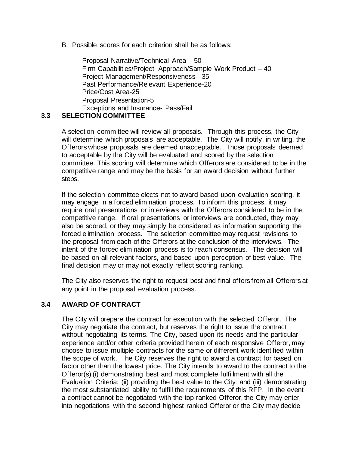B. Possible scores for each criterion shall be as follows:

Proposal Narrative/Technical Area – 50 Firm Capabilities/Project Approach/Sample Work Product – 40 Project Management/Responsiveness- 35 Past Performance/Relevant Experience-20 Price/Cost Area-25 Proposal Presentation-5 Exceptions and Insurance- Pass/Fail

#### **3.3 SELECTION COMMITTEE**

A selection committee will review all proposals. Through this process, the City will determine which proposals are acceptable. The City will notify, in writing, the Offerors whose proposals are deemed unacceptable. Those proposals deemed to acceptable by the City will be evaluated and scored by the selection committee. This scoring will determine which Offerors are considered to be in the competitive range and may be the basis for an award decision without further steps.

If the selection committee elects not to award based upon evaluation scoring, it may engage in a forced elimination process. To inform this process, it may require oral presentations or interviews with the Offerors considered to be in the competitive range. If oral presentations or interviews are conducted, they may also be scored, or they may simply be considered as information supporting the forced elimination process. The selection committee may request revisions to the proposal from each of the Offerors at the conclusion of the interviews. The intent of the forced elimination process is to reach consensus. The decision will be based on all relevant factors, and based upon perception of best value. The final decision may or may not exactly reflect scoring ranking.

The City also reserves the right to request best and final offers from all Offerors at any point in the proposal evaluation process.

#### **3.4 AWARD OF CONTRACT**

The City will prepare the contract for execution with the selected Offeror. The City may negotiate the contract, but reserves the right to issue the contract without negotiating its terms. The City, based upon its needs and the particular experience and/or other criteria provided herein of each responsive Offeror, may choose to issue multiple contracts for the same or different work identified within the scope of work. The City reserves the right to award a contract for based on factor other than the lowest price. The City intends to award to the contract to the Offeror(s) (i) demonstrating best and most complete fulfillment with all the Evaluation Criteria; (ii) providing the best value to the City; and (iii) demonstrating the most substantiated ability to fulfill the requirements of this RFP. In the event a contract cannot be negotiated with the top ranked Offeror, the City may enter into negotiations with the second highest ranked Offeror or the City may decide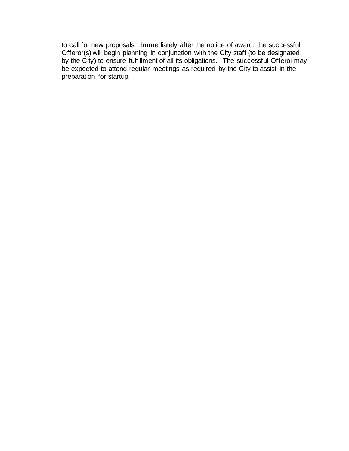to call for new proposals. Immediately after the notice of award, the successful Offeror(s) will begin planning in conjunction with the City staff (to be designated by the City) to ensure fulfillment of all its obligations. The successful Offeror may be expected to attend regular meetings as required by the City to assist in the preparation for startup.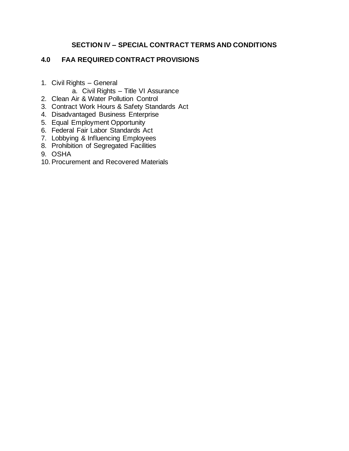#### **SECTION IV – SPECIAL CONTRACT TERMS AND CONDITIONS**

#### **4.0 FAA REQUIRED CONTRACT PROVISIONS**

- 1. Civil Rights General
	- a. Civil Rights Title VI Assurance
- 2. Clean Air & Water Pollution Control
- 3. Contract Work Hours & Safety Standards Act
- 4. Disadvantaged Business Enterprise
- 5. Equal Employment Opportunity
- 6. Federal Fair Labor Standards Act
- 7. Lobbying & Influencing Employees
- 8. Prohibition of Segregated Facilities
- 9. OSHA
- 10. Procurement and Recovered Materials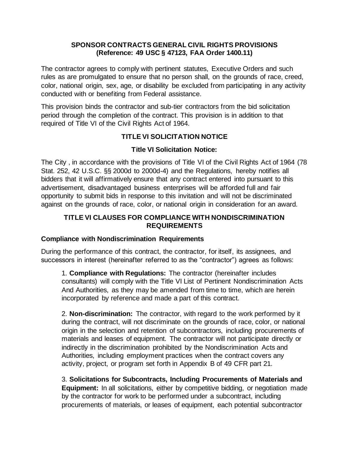#### **SPONSOR CONTRACTS GENERAL CIVIL RIGHTS PROVISIONS (Reference: 49 USC § 47123, FAA Order 1400.11)**

The contractor agrees to comply with pertinent statutes, Executive Orders and such rules as are promulgated to ensure that no person shall, on the grounds of race, creed, color, national origin, sex, age, or disability be excluded from participating in any activity conducted with or benefiting from Federal assistance.

This provision binds the contractor and sub-tier contractors from the bid solicitation period through the completion of the contract. This provision is in addition to that required of Title VI of the Civil Rights Act of 1964.

#### **TITLE VI SOLICITATION NOTICE**

#### **Title VI Solicitation Notice:**

The City , in accordance with the provisions of Title VI of the Civil Rights Act of 1964 (78 Stat. 252, 42 U.S.C. §§ 2000d to 2000d-4) and the Regulations, hereby notifies all bidders that it will affirmatively ensure that any contract entered into pursuant to this advertisement, disadvantaged business enterprises will be afforded full and fair opportunity to submit bids in response to this invitation and will not be discriminated against on the grounds of race, color, or national origin in consideration for an award.

#### **TITLE VI CLAUSES FOR COMPLIANCE WITH NONDISCRIMINATION REQUIREMENTS**

#### **Compliance with Nondiscrimination Requirements**

During the performance of this contract, the contractor, for itself, its assignees, and successors in interest (hereinafter referred to as the "contractor") agrees as follows:

1. **Compliance with Regulations:** The contractor (hereinafter includes consultants) will comply with the Title VI List of Pertinent Nondiscrimination Acts And Authorities, as they may be amended from time to time, which are herein incorporated by reference and made a part of this contract.

2. **Non-discrimination:** The contractor, with regard to the work performed by it during the contract, will not discriminate on the grounds of race, color, or national origin in the selection and retention of subcontractors, including procurements of materials and leases of equipment. The contractor will not participate directly or indirectly in the discrimination prohibited by the Nondiscrimination Acts and Authorities, including employment practices when the contract covers any activity, project, or program set forth in Appendix B of 49 CFR part 21.

3. **Solicitations for Subcontracts, Including Procurements of Materials and Equipment:** In all solicitations, either by competitive bidding, or negotiation made by the contractor for work to be performed under a subcontract, including procurements of materials, or leases of equipment, each potential subcontractor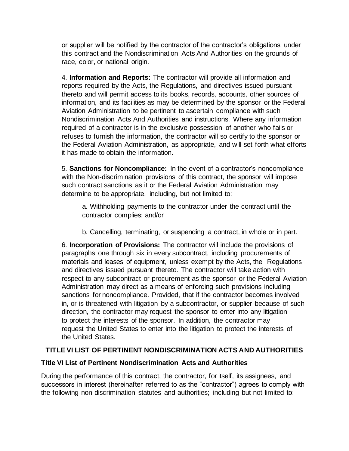or supplier will be notified by the contractor of the contractor's obligations under this contract and the Nondiscrimination Acts And Authorities on the grounds of race, color, or national origin.

4. **Information and Reports:** The contractor will provide all information and reports required by the Acts, the Regulations, and directives issued pursuant thereto and will permit access to its books, records, accounts, other sources of information, and its facilities as may be determined by the sponsor or the Federal Aviation Administration to be pertinent to ascertain compliance with such Nondiscrimination Acts And Authorities and instructions. Where any information required of a contractor is in the exclusive possession of another who fails or refuses to furnish the information, the contractor will so certify to the sponsor or the Federal Aviation Administration, as appropriate, and will set forth what efforts it has made to obtain the information.

5. **Sanctions for Noncompliance:** In the event of a contractor's noncompliance with the Non-discrimination provisions of this contract, the sponsor will impose such contract sanctions as it or the Federal Aviation Administration may determine to be appropriate, including, but not limited to:

a. Withholding payments to the contractor under the contract until the contractor complies; and/or

b. Cancelling, terminating, or suspending a contract, in whole or in part.

6. **Incorporation of Provisions:** The contractor will include the provisions of paragraphs one through six in every subcontract, including procurements of materials and leases of equipment, unless exempt by the Acts, the Regulations and directives issued pursuant thereto. The contractor will take action with respect to any subcontract or procurement as the sponsor or the Federal Aviation Administration may direct as a means of enforcing such provisions including sanctions for noncompliance. Provided, that if the contractor becomes involved in, or is threatened with litigation by a subcontractor, or supplier because of such direction, the contractor may request the sponsor to enter into any litigation to protect the interests of the sponsor. In addition, the contractor may request the United States to enter into the litigation to protect the interests of the United States.

#### **TITLE VI LIST OF PERTINENT NONDISCRIMINATION ACTS AND AUTHORITIES**

#### **Title VI List of Pertinent Nondiscrimination Acts and Authorities**

During the performance of this contract, the contractor, for itself, its assignees, and successors in interest (hereinafter referred to as the "contractor") agrees to comply with the following non-discrimination statutes and authorities; including but not limited to: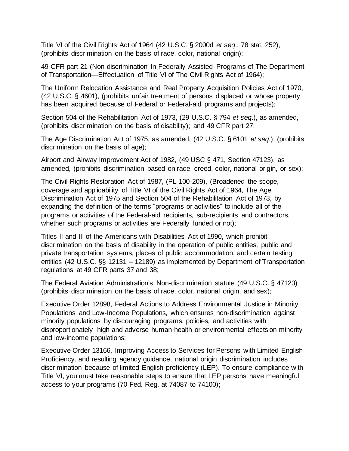Title VI of the Civil Rights Act of 1964 (42 U.S.C. § 2000d *et seq*., 78 stat. 252), (prohibits discrimination on the basis of race, color, national origin);

49 CFR part 21 (Non-discrimination In Federally-Assisted Programs of The Department of Transportation—Effectuation of Title VI of The Civil Rights Act of 1964);

The Uniform Relocation Assistance and Real Property Acquisition Policies Act of 1970, (42 U.S.C. § 4601), (prohibits unfair treatment of persons displaced or whose property has been acquired because of Federal or Federal-aid programs and projects);

Section 504 of the Rehabilitation Act of 1973, (29 U.S.C. § 794 *et seq*.), as amended, (prohibits discrimination on the basis of disability); and 49 CFR part 27;

The Age Discrimination Act of 1975, as amended, (42 U.S.C. § 6101 *et seq*.), (prohibits discrimination on the basis of age);

Airport and Airway Improvement Act of 1982, (49 USC § 471, Section 47123), as amended, (prohibits discrimination based on race, creed, color, national origin, or sex);

The Civil Rights Restoration Act of 1987, (PL 100-209), (Broadened the scope, coverage and applicability of Title VI of the Civil Rights Act of 1964, The Age Discrimination Act of 1975 and Section 504 of the Rehabilitation Act of 1973, by expanding the definition of the terms "programs or activities" to include all of the programs or activities of the Federal-aid recipients, sub-recipients and contractors, whether such programs or activities are Federally funded or not);

Titles II and III of the Americans with Disabilities Act of 1990, which prohibit discrimination on the basis of disability in the operation of public entities, public and private transportation systems, places of public accommodation, and certain testing entities (42 U.S.C. §§ 12131 – 12189) as implemented by Department of Transportation regulations at 49 CFR parts 37 and 38;

The Federal Aviation Administration's Non-discrimination statute (49 U.S.C. § 47123) (prohibits discrimination on the basis of race, color, national origin, and sex);

Executive Order 12898, Federal Actions to Address Environmental Justice in Minority Populations and Low-Income Populations, which ensures non-discrimination against minority populations by discouraging programs, policies, and activities with disproportionately high and adverse human health or environmental effects on minority and low-income populations;

Executive Order 13166, Improving Access to Services for Persons with Limited English Proficiency, and resulting agency guidance, national origin discrimination includes discrimination because of limited English proficiency (LEP). To ensure compliance with Title VI, you must take reasonable steps to ensure that LEP persons have meaningful access to your programs (70 Fed. Reg. at 74087 to 74100);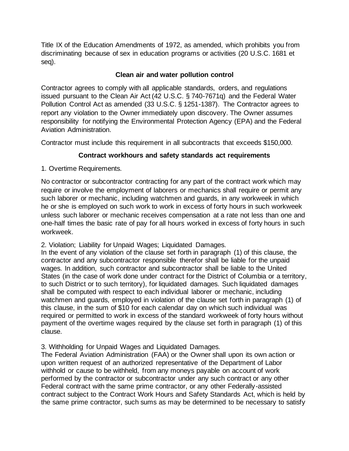Title IX of the Education Amendments of 1972, as amended, which prohibits you from discriminating because of sex in education programs or activities (20 U.S.C. 1681 et seq).

#### **Clean air and water pollution control**

Contractor agrees to comply with all applicable standards, orders, and regulations issued pursuant to the Clean Air Act (42 U.S.C. § 740-7671q) and the Federal Water Pollution Control Act as amended (33 U.S.C. § 1251-1387). The Contractor agrees to report any violation to the Owner immediately upon discovery. The Owner assumes responsibility for notifying the Environmental Protection Agency (EPA) and the Federal Aviation Administration.

Contractor must include this requirement in all subcontracts that exceeds \$150,000.

#### **Contract workhours and safety standards act requirements**

1. Overtime Requirements.

No contractor or subcontractor contracting for any part of the contract work which may require or involve the employment of laborers or mechanics shall require or permit any such laborer or mechanic, including watchmen and guards, in any workweek in which he or she is employed on such work to work in excess of forty hours in such workweek unless such laborer or mechanic receives compensation at a rate not less than one and one-half times the basic rate of pay for all hours worked in excess of forty hours in such workweek.

2. Violation; Liability for Unpaid Wages; Liquidated Damages.

In the event of any violation of the clause set forth in paragraph (1) of this clause, the contractor and any subcontractor responsible therefor shall be liable for the unpaid wages. In addition, such contractor and subcontractor shall be liable to the United States (in the case of work done under contract for the District of Columbia or a territory, to such District or to such territory), for liquidated damages. Such liquidated damages shall be computed with respect to each individual laborer or mechanic, including watchmen and guards, employed in violation of the clause set forth in paragraph (1) of this clause, in the sum of \$10 for each calendar day on which such individual was required or permitted to work in excess of the standard workweek of forty hours without payment of the overtime wages required by the clause set forth in paragraph (1) of this clause.

3. Withholding for Unpaid Wages and Liquidated Damages.

The Federal Aviation Administration (FAA) or the Owner shall upon its own action or upon written request of an authorized representative of the Department of Labor withhold or cause to be withheld, from any moneys payable on account of work performed by the contractor or subcontractor under any such contract or any other Federal contract with the same prime contractor, or any other Federally-assisted contract subject to the Contract Work Hours and Safety Standards Act, which is held by the same prime contractor, such sums as may be determined to be necessary to satisfy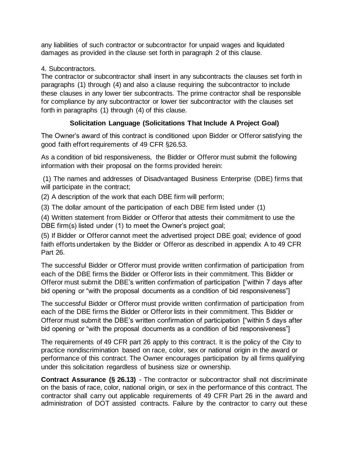any liabilities of such contractor or subcontractor for unpaid wages and liquidated damages as provided in the clause set forth in paragraph 2 of this clause.

#### 4. Subcontractors.

The contractor or subcontractor shall insert in any subcontracts the clauses set forth in paragraphs (1) through (4) and also a clause requiring the subcontractor to include these clauses in any lower tier subcontracts. The prime contractor shall be responsible for compliance by any subcontractor or lower tier subcontractor with the clauses set forth in paragraphs (1) through (4) of this clause.

### **Solicitation Language (Solicitations That Include A Project Goal)**

The Owner's award of this contract is conditioned upon Bidder or Offeror satisfying the good faith effort requirements of 49 CFR §26.53.

As a condition of bid responsiveness, the Bidder or Offeror must submit the following information with their proposal on the forms provided herein:

(1) The names and addresses of Disadvantaged Business Enterprise (DBE) firms that will participate in the contract;

(2) A description of the work that each DBE firm will perform;

(3) The dollar amount of the participation of each DBE firm listed under (1)

(4) Written statement from Bidder or Offeror that attests their commitment to use the DBE firm(s) listed under (1) to meet the Owner's project goal;

(5) If Bidder or Offeror cannot meet the advertised project DBE goal; evidence of good faith efforts undertaken by the Bidder or Offeror as described in appendix A to 49 CFR Part 26.

The successful Bidder or Offeror must provide written confirmation of participation from each of the DBE firms the Bidder or Offeror lists in their commitment. This Bidder or Offeror must submit the DBE's written confirmation of participation ["within 7 days after bid opening or "with the proposal documents as a condition of bid responsiveness"]

The successful Bidder or Offeror must provide written confirmation of participation from each of the DBE firms the Bidder or Offeror lists in their commitment. This Bidder or Offeror must submit the DBE's written confirmation of participation ["within 5 days after bid opening or "with the proposal documents as a condition of bid responsiveness"]

The requirements of 49 CFR part 26 apply to this contract. It is the policy of the City to practice nondiscrimination based on race, color, sex or national origin in the award or performance of this contract. The Owner encourages participation by all firms qualifying under this solicitation regardless of business size or ownership.

**Contract Assurance (§ 26.13)** - The contractor or subcontractor shall not discriminate on the basis of race, color, national origin, or sex in the performance of this contract. The contractor shall carry out applicable requirements of 49 CFR Part 26 in the award and administration of DOT assisted contracts. Failure by the contractor to carry out these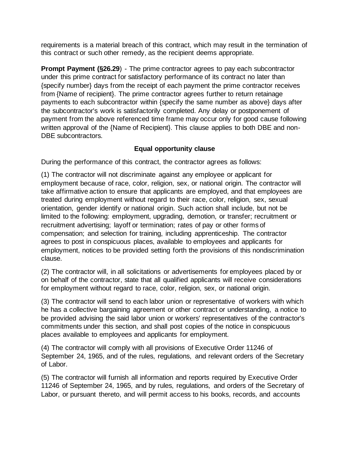requirements is a material breach of this contract, which may result in the termination of this contract or such other remedy, as the recipient deems appropriate.

**Prompt Payment (§26.29)** - The prime contractor agrees to pay each subcontractor under this prime contract for satisfactory performance of its contract no later than {specify number} days from the receipt of each payment the prime contractor receives from {Name of recipient}. The prime contractor agrees further to return retainage payments to each subcontractor within {specify the same number as above} days after the subcontractor's work is satisfactorily completed. Any delay or postponement of payment from the above referenced time frame may occur only for good cause following written approval of the {Name of Recipient}. This clause applies to both DBE and non-DBE subcontractors.

#### **Equal opportunity clause**

During the performance of this contract, the contractor agrees as follows:

(1) The contractor will not discriminate against any employee or applicant for employment because of race, color, religion, sex, or national origin. The contractor will take affirmative action to ensure that applicants are employed, and that employees are treated during employment without regard to their race, color, religion, sex, sexual orientation, gender identify or national origin. Such action shall include, but not be limited to the following: employment, upgrading, demotion, or transfer; recruitment or recruitment advertising; layoff or termination; rates of pay or other forms of compensation; and selection for training, including apprenticeship. The contractor agrees to post in conspicuous places, available to employees and applicants for employment, notices to be provided setting forth the provisions of this nondiscrimination clause.

(2) The contractor will, in all solicitations or advertisements for employees placed by or on behalf of the contractor, state that all qualified applicants will receive considerations for employment without regard to race, color, religion, sex, or national origin.

(3) The contractor will send to each labor union or representative of workers with which he has a collective bargaining agreement or other contract or understanding, a notice to be provided advising the said labor union or workers' representatives of the contractor's commitments under this section, and shall post copies of the notice in conspicuous places available to employees and applicants for employment.

(4) The contractor will comply with all provisions of Executive Order 11246 of September 24, 1965, and of the rules, regulations, and relevant orders of the Secretary of Labor.

(5) The contractor will furnish all information and reports required by Executive Order 11246 of September 24, 1965, and by rules, regulations, and orders of the Secretary of Labor, or pursuant thereto, and will permit access to his books, records, and accounts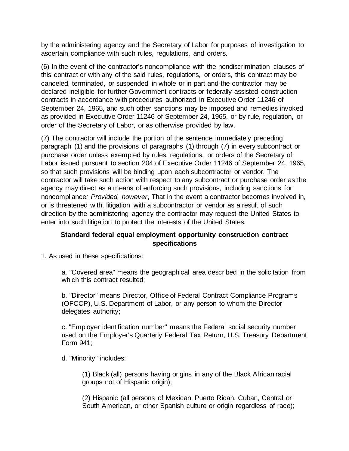by the administering agency and the Secretary of Labor for purposes of investigation to ascertain compliance with such rules, regulations, and orders.

(6) In the event of the contractor's noncompliance with the nondiscrimination clauses of this contract or with any of the said rules, regulations, or orders, this contract may be canceled, terminated, or suspended in whole or in part and the contractor may be declared ineligible for further Government contracts or federally assisted construction contracts in accordance with procedures authorized in Executive Order 11246 of September 24, 1965, and such other sanctions may be imposed and remedies invoked as provided in Executive Order 11246 of September 24, 1965, or by rule, regulation, or order of the Secretary of Labor, or as otherwise provided by law.

(7) The contractor will include the portion of the sentence immediately preceding paragraph (1) and the provisions of paragraphs (1) through (7) in every subcontract or purchase order unless exempted by rules, regulations, or orders of the Secretary of Labor issued pursuant to section 204 of Executive Order 11246 of September 24, 1965, so that such provisions will be binding upon each subcontractor or vendor. The contractor will take such action with respect to any subcontract or purchase order as the agency may direct as a means of enforcing such provisions, including sanctions for noncompliance*: Provided, however*, That in the event a contractor becomes involved in, or is threatened with, litigation with a subcontractor or vendor as a result of such direction by the administering agency the contractor may request the United States to enter into such litigation to protect the interests of the United States.

#### **Standard federal equal employment opportunity construction contract specifications**

1. As used in these specifications:

a. "Covered area" means the geographical area described in the solicitation from which this contract resulted;

b. "Director" means Director, Office of Federal Contract Compliance Programs (OFCCP), U.S. Department of Labor, or any person to whom the Director delegates authority;

c. "Employer identification number" means the Federal social security number used on the Employer's Quarterly Federal Tax Return, U.S. Treasury Department Form 941;

d. "Minority" includes:

(1) Black (all) persons having origins in any of the Black African racial groups not of Hispanic origin);

(2) Hispanic (all persons of Mexican, Puerto Rican, Cuban, Central or South American, or other Spanish culture or origin regardless of race);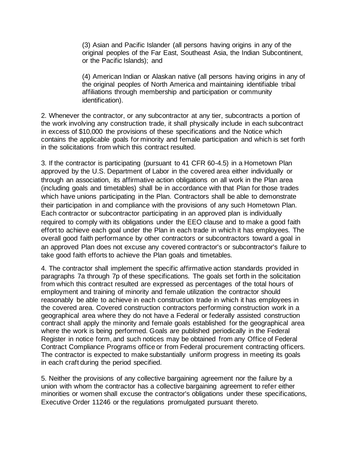(3) Asian and Pacific Islander (all persons having origins in any of the original peoples of the Far East, Southeast Asia, the Indian Subcontinent, or the Pacific Islands); and

(4) American Indian or Alaskan native (all persons having origins in any of the original peoples of North America and maintaining identifiable tribal affiliations through membership and participation or community identification).

2. Whenever the contractor, or any subcontractor at any tier, subcontracts a portion of the work involving any construction trade, it shall physically include in each subcontract in excess of \$10,000 the provisions of these specifications and the Notice which contains the applicable goals for minority and female participation and which is set forth in the solicitations from which this contract resulted.

3. If the contractor is participating (pursuant to 41 CFR 60-4.5) in a Hometown Plan approved by the U.S. Department of Labor in the covered area either individually or through an association, its affirmative action obligations on all work in the Plan area (including goals and timetables) shall be in accordance with that Plan for those trades which have unions participating in the Plan. Contractors shall be able to demonstrate their participation in and compliance with the provisions of any such Hometown Plan. Each contractor or subcontractor participating in an approved plan is individually required to comply with its obligations under the EEO clause and to make a good faith effort to achieve each goal under the Plan in each trade in which it has employees. The overall good faith performance by other contractors or subcontractors toward a goal in an approved Plan does not excuse any covered contractor's or subcontractor's failure to take good faith efforts to achieve the Plan goals and timetables.

4. The contractor shall implement the specific affirmative action standards provided in paragraphs 7a through 7p of these specifications. The goals set forth in the solicitation from which this contract resulted are expressed as percentages of the total hours of employment and training of minority and female utilization the contractor should reasonably be able to achieve in each construction trade in which it has employees in the covered area. Covered construction contractors performing construction work in a geographical area where they do not have a Federal or federally assisted construction contract shall apply the minority and female goals established for the geographical area where the work is being performed. Goals are published periodically in the Federal Register in notice form, and such notices may be obtained from any Office of Federal Contract Compliance Programs office or from Federal procurement contracting officers. The contractor is expected to make substantially uniform progress in meeting its goals in each craft during the period specified.

5. Neither the provisions of any collective bargaining agreement nor the failure by a union with whom the contractor has a collective bargaining agreement to refer either minorities or women shall excuse the contractor's obligations under these specifications, Executive Order 11246 or the regulations promulgated pursuant thereto.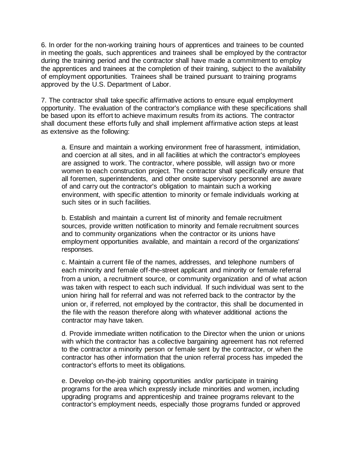6. In order for the non-working training hours of apprentices and trainees to be counted in meeting the goals, such apprentices and trainees shall be employed by the contractor during the training period and the contractor shall have made a commitment to employ the apprentices and trainees at the completion of their training, subject to the availability of employment opportunities. Trainees shall be trained pursuant to training programs approved by the U.S. Department of Labor.

7. The contractor shall take specific affirmative actions to ensure equal employment opportunity. The evaluation of the contractor's compliance with these specifications shall be based upon its effort to achieve maximum results from its actions. The contractor shall document these efforts fully and shall implement affirmative action steps at least as extensive as the following:

a. Ensure and maintain a working environment free of harassment, intimidation, and coercion at all sites, and in all facilities at which the contractor's employees are assigned to work. The contractor, where possible, will assign two or more women to each construction project. The contractor shall specifically ensure that all foremen, superintendents, and other onsite supervisory personnel are aware of and carry out the contractor's obligation to maintain such a working environment, with specific attention to minority or female individuals working at such sites or in such facilities.

b. Establish and maintain a current list of minority and female recruitment sources, provide written notification to minority and female recruitment sources and to community organizations when the contractor or its unions have employment opportunities available, and maintain a record of the organizations' responses.

c. Maintain a current file of the names, addresses, and telephone numbers of each minority and female off-the-street applicant and minority or female referral from a union, a recruitment source, or community organization and of what action was taken with respect to each such individual. If such individual was sent to the union hiring hall for referral and was not referred back to the contractor by the union or, if referred, not employed by the contractor, this shall be documented in the file with the reason therefore along with whatever additional actions the contractor may have taken.

d. Provide immediate written notification to the Director when the union or unions with which the contractor has a collective bargaining agreement has not referred to the contractor a minority person or female sent by the contractor, or when the contractor has other information that the union referral process has impeded the contractor's efforts to meet its obligations.

e. Develop on-the-job training opportunities and/or participate in training programs for the area which expressly include minorities and women, including upgrading programs and apprenticeship and trainee programs relevant to the contractor's employment needs, especially those programs funded or approved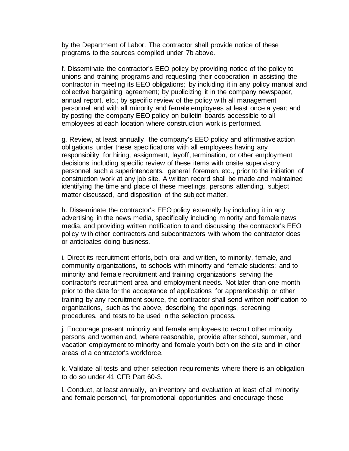by the Department of Labor. The contractor shall provide notice of these programs to the sources compiled under 7b above.

f. Disseminate the contractor's EEO policy by providing notice of the policy to unions and training programs and requesting their cooperation in assisting the contractor in meeting its EEO obligations; by including it in any policy manual and collective bargaining agreement; by publicizing it in the company newspaper, annual report, etc.; by specific review of the policy with all management personnel and with all minority and female employees at least once a year; and by posting the company EEO policy on bulletin boards accessible to all employees at each location where construction work is performed.

g. Review, at least annually, the company's EEO policy and affirmative action obligations under these specifications with all employees having any responsibility for hiring, assignment, layoff, termination, or other employment decisions including specific review of these items with onsite supervisory personnel such a superintendents, general foremen, etc., prior to the initiation of construction work at any job site. A written record shall be made and maintained identifying the time and place of these meetings, persons attending, subject matter discussed, and disposition of the subject matter.

h. Disseminate the contractor's EEO policy externally by including it in any advertising in the news media, specifically including minority and female news media, and providing written notification to and discussing the contractor's EEO policy with other contractors and subcontractors with whom the contractor does or anticipates doing business.

i. Direct its recruitment efforts, both oral and written, to minority, female, and community organizations, to schools with minority and female students; and to minority and female recruitment and training organizations serving the contractor's recruitment area and employment needs. Not later than one month prior to the date for the acceptance of applications for apprenticeship or other training by any recruitment source, the contractor shall send written notification to organizations, such as the above, describing the openings, screening procedures, and tests to be used in the selection process.

j. Encourage present minority and female employees to recruit other minority persons and women and, where reasonable, provide after school, summer, and vacation employment to minority and female youth both on the site and in other areas of a contractor's workforce.

k. Validate all tests and other selection requirements where there is an obligation to do so under 41 CFR Part 60-3.

l. Conduct, at least annually, an inventory and evaluation at least of all minority and female personnel, for promotional opportunities and encourage these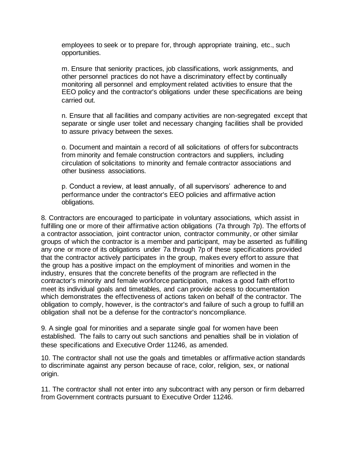employees to seek or to prepare for, through appropriate training, etc., such opportunities.

m. Ensure that seniority practices, job classifications, work assignments, and other personnel practices do not have a discriminatory effect by continually monitoring all personnel and employment related activities to ensure that the EEO policy and the contractor's obligations under these specifications are being carried out.

n. Ensure that all facilities and company activities are non-segregated except that separate or single user toilet and necessary changing facilities shall be provided to assure privacy between the sexes.

o. Document and maintain a record of all solicitations of offers for subcontracts from minority and female construction contractors and suppliers, including circulation of solicitations to minority and female contractor associations and other business associations.

p. Conduct a review, at least annually, of all supervisors' adherence to and performance under the contractor's EEO policies and affirmative action obligations.

8. Contractors are encouraged to participate in voluntary associations, which assist in fulfilling one or more of their affirmative action obligations (7a through 7p). The efforts of a contractor association, joint contractor union, contractor community, or other similar groups of which the contractor is a member and participant, may be asserted as fulfilling any one or more of its obligations under 7a through 7p of these specifications provided that the contractor actively participates in the group, makes every effort to assure that the group has a positive impact on the employment of minorities and women in the industry, ensures that the concrete benefits of the program are reflected in the contractor's minority and female workforce participation, makes a good faith effort to meet its individual goals and timetables, and can provide access to documentation which demonstrates the effectiveness of actions taken on behalf of the contractor. The obligation to comply, however, is the contractor's and failure of such a group to fulfill an obligation shall not be a defense for the contractor's noncompliance.

9. A single goal for minorities and a separate single goal for women have been established. The fails to carry out such sanctions and penalties shall be in violation of these specifications and Executive Order 11246, as amended.

10. The contractor shall not use the goals and timetables or affirmative action standards to discriminate against any person because of race, color, religion, sex, or national origin.

11. The contractor shall not enter into any subcontract with any person or firm debarred from Government contracts pursuant to Executive Order 11246.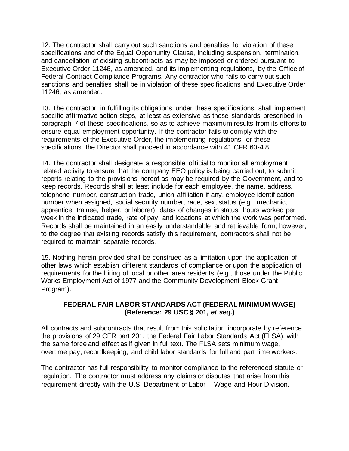12. The contractor shall carry out such sanctions and penalties for violation of these specifications and of the Equal Opportunity Clause, including suspension, termination, and cancellation of existing subcontracts as may be imposed or ordered pursuant to Executive Order 11246, as amended, and its implementing regulations, by the Office of Federal Contract Compliance Programs. Any contractor who fails to carry out such sanctions and penalties shall be in violation of these specifications and Executive Order 11246, as amended.

13. The contractor, in fulfilling its obligations under these specifications, shall implement specific affirmative action steps, at least as extensive as those standards prescribed in paragraph 7 of these specifications, so as to achieve maximum results from its efforts to ensure equal employment opportunity. If the contractor fails to comply with the requirements of the Executive Order, the implementing regulations, or these specifications, the Director shall proceed in accordance with 41 CFR 60-4.8.

14. The contractor shall designate a responsible official to monitor all employment related activity to ensure that the company EEO policy is being carried out, to submit reports relating to the provisions hereof as may be required by the Government, and to keep records. Records shall at least include for each employee, the name, address, telephone number, construction trade, union affiliation if any, employee identification number when assigned, social security number, race, sex, status (e.g., mechanic, apprentice, trainee, helper, or laborer), dates of changes in status, hours worked per week in the indicated trade, rate of pay, and locations at which the work was performed. Records shall be maintained in an easily understandable and retrievable form; however, to the degree that existing records satisfy this requirement, contractors shall not be required to maintain separate records.

15. Nothing herein provided shall be construed as a limitation upon the application of other laws which establish different standards of compliance or upon the application of requirements for the hiring of local or other area residents (e.g., those under the Public Works Employment Act of 1977 and the Community Development Block Grant Program).

#### **FEDERAL FAIR LABOR STANDARDS ACT (FEDERAL MINIMUM WAGE) (Reference: 29 USC § 201,** *et seq***.)**

All contracts and subcontracts that result from this solicitation incorporate by reference the provisions of 29 CFR part 201, the Federal Fair Labor Standards Act (FLSA), with the same force and effect as if given in full text. The FLSA sets minimum wage, overtime pay, recordkeeping, and child labor standards for full and part time workers.

The contractor has full responsibility to monitor compliance to the referenced statute or regulation. The contractor must address any claims or disputes that arise from this requirement directly with the U.S. Department of Labor – Wage and Hour Division.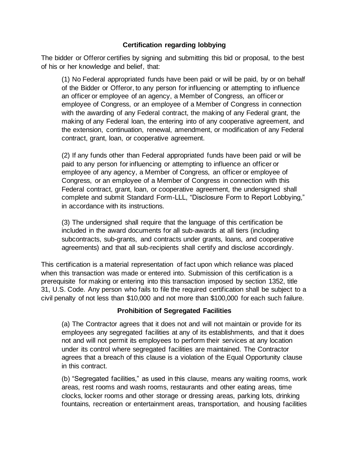#### **Certification regarding lobbying**

The bidder or Offeror certifies by signing and submitting this bid or proposal, to the best of his or her knowledge and belief, that:

(1) No Federal appropriated funds have been paid or will be paid, by or on behalf of the Bidder or Offeror, to any person for influencing or attempting to influence an officer or employee of an agency, a Member of Congress, an officer or employee of Congress, or an employee of a Member of Congress in connection with the awarding of any Federal contract, the making of any Federal grant, the making of any Federal loan, the entering into of any cooperative agreement, and the extension, continuation, renewal, amendment, or modification of any Federal contract, grant, loan, or cooperative agreement.

(2) If any funds other than Federal appropriated funds have been paid or will be paid to any person for influencing or attempting to influence an officer or employee of any agency, a Member of Congress, an officer or employee of Congress, or an employee of a Member of Congress in connection with this Federal contract, grant, loan, or cooperative agreement, the undersigned shall complete and submit Standard Form-LLL, "Disclosure Form to Report Lobbying," in accordance with its instructions.

(3) The undersigned shall require that the language of this certification be included in the award documents for all sub-awards at all tiers (including subcontracts, sub-grants, and contracts under grants, loans, and cooperative agreements) and that all sub-recipients shall certify and disclose accordingly.

This certification is a material representation of fact upon which reliance was placed when this transaction was made or entered into. Submission of this certification is a prerequisite for making or entering into this transaction imposed by section 1352, title 31, U.S. Code. Any person who fails to file the required certification shall be subject to a civil penalty of not less than \$10,000 and not more than \$100,000 for each such failure.

#### **Prohibition of Segregated Facilities**

(a) The Contractor agrees that it does not and will not maintain or provide for its employees any segregated facilities at any of its establishments, and that it does not and will not permit its employees to perform their services at any location under its control where segregated facilities are maintained. The Contractor agrees that a breach of this clause is a violation of the Equal Opportunity clause in this contract.

(b) "Segregated facilities," as used in this clause, means any waiting rooms, work areas, rest rooms and wash rooms, restaurants and other eating areas, time clocks, locker rooms and other storage or dressing areas, parking lots, drinking fountains, recreation or entertainment areas, transportation, and housing facilities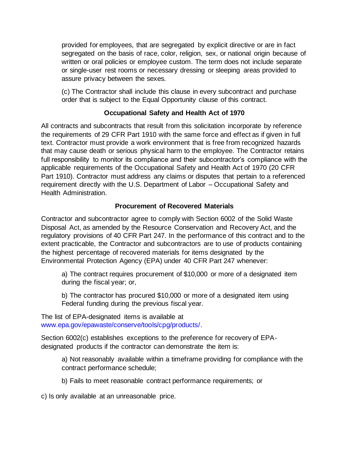provided for employees, that are segregated by explicit directive or are in fact segregated on the basis of race, color, religion, sex, or national origin because of written or oral policies or employee custom. The term does not include separate or single-user rest rooms or necessary dressing or sleeping areas provided to assure privacy between the sexes.

(c) The Contractor shall include this clause in every subcontract and purchase order that is subject to the Equal Opportunity clause of this contract.

#### **Occupational Safety and Health Act of 1970**

All contracts and subcontracts that result from this solicitation incorporate by reference the requirements of 29 CFR Part 1910 with the same force and effect as if given in full text. Contractor must provide a work environment that is free from recognized hazards that may cause death or serious physical harm to the employee. The Contractor retains full responsibility to monitor its compliance and their subcontractor's compliance with the applicable requirements of the Occupational Safety and Health Act of 1970 (20 CFR Part 1910). Contractor must address any claims or disputes that pertain to a referenced requirement directly with the U.S. Department of Labor – Occupational Safety and Health Administration.

#### **Procurement of Recovered Materials**

Contractor and subcontractor agree to comply with Section 6002 of the Solid Waste Disposal Act, as amended by the Resource Conservation and Recovery Act, and the regulatory provisions of 40 CFR Part 247. In the performance of this contract and to the extent practicable, the Contractor and subcontractors are to use of products containing the highest percentage of recovered materials for items designated by the Environmental Protection Agency (EPA) under 40 CFR Part 247 whenever:

a) The contract requires procurement of \$10,000 or more of a designated item during the fiscal year; or,

b) The contractor has procured \$10,000 or more of a designated item using Federal funding during the previous fiscal year.

The list of EPA-designated items is available at www.epa.gov/epawaste/conserve/tools/cpg/products/.

Section 6002(c) establishes exceptions to the preference for recovery of EPAdesignated products if the contractor can demonstrate the item is:

a) Not reasonably available within a timeframe providing for compliance with the contract performance schedule;

b) Fails to meet reasonable contract performance requirements; or

c) Is only available at an unreasonable price.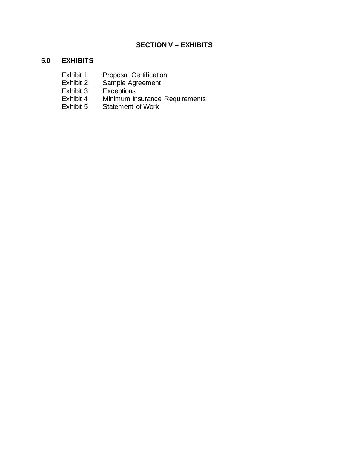#### **SECTION V – EXHIBITS**

#### **5.0 EXHIBITS**

- Exhibit 1 Proposal Certification<br>Exhibit 2 Sample Agreement
- Sample Agreement
- 
- Exhibit 3 Exceptions<br>Exhibit 4 Minimum In Exhibit 4 Minimum Insurance Requirements<br>Exhibit 5 Statement of Work
- Statement of Work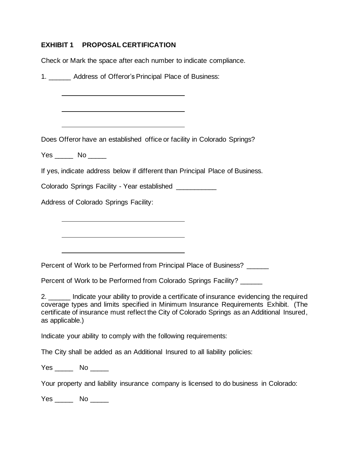# **EXHIBIT 1 PROPOSAL CERTIFICATION**

Check or Mark the space after each number to indicate compliance.

1. \_\_\_\_\_\_ Address of Offeror's Principal Place of Business:

Does Offeror have an established office or facility in Colorado Springs?

Yes No No

If yes, indicate address below if different than Principal Place of Business.

Colorado Springs Facility - Year established \_\_\_\_\_\_\_\_\_\_\_

Address of Colorado Springs Facility:

Percent of Work to be Performed from Principal Place of Business? \_\_\_\_\_\_

Percent of Work to be Performed from Colorado Springs Facility? \_\_\_\_\_\_

2. \_\_\_\_\_\_ Indicate your ability to provide a certificate of insurance evidencing the required coverage types and limits specified in Minimum Insurance Requirements Exhibit. (The certificate of insurance must reflect the City of Colorado Springs as an Additional Insured, as applicable.)

Indicate your ability to comply with the following requirements:

The City shall be added as an Additional Insured to all liability policies:

Yes No No

Your property and liability insurance company is licensed to do business in Colorado:

Yes \_\_\_\_\_\_ No \_\_\_\_\_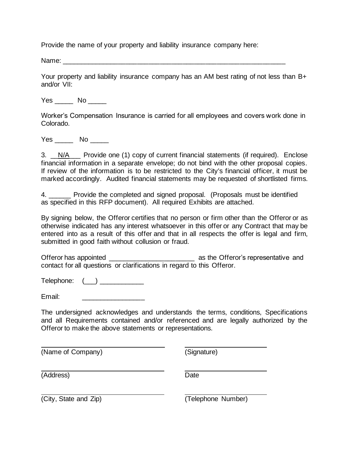Provide the name of your property and liability insurance company here:

Name: \_\_\_\_\_\_\_\_\_\_\_\_\_\_\_\_\_\_\_\_\_\_\_\_\_\_\_\_\_\_\_\_\_\_\_\_\_\_\_\_\_\_\_\_\_\_\_\_\_\_\_\_\_\_\_\_\_\_\_

Your property and liability insurance company has an AM best rating of not less than B+ and/or VII:

Yes No No

Worker's Compensation Insurance is carried for all employees and covers work done in Colorado.

Yes \_\_\_\_\_\_\_ No \_\_\_\_\_\_

3. \_\_N/A\_\_\_ Provide one (1) copy of current financial statements (if required). Enclose financial information in a separate envelope; do not bind with the other proposal copies. If review of the information is to be restricted to the City's financial officer, it must be marked accordingly. Audited financial statements may be requested of shortlisted firms.

4. \_\_\_\_\_\_ Provide the completed and signed proposal. (Proposals must be identified as specified in this RFP document). All required Exhibits are attached.

By signing below, the Offeror certifies that no person or firm other than the Offeror or as otherwise indicated has any interest whatsoever in this offer or any Contract that may be entered into as a result of this offer and that in all respects the offer is legal and firm, submitted in good faith without collusion or fraud.

Offeror has appointed \_\_\_\_\_\_\_\_\_\_\_\_\_\_\_\_\_\_\_\_\_\_\_\_\_\_\_\_\_\_\_\_ as the Offeror's representative and contact for all questions or clarifications in regard to this Offeror.

 $\text{Telephone:} \quad (\_\_\_) \_\_\_\_\_\_\_\_\_\_\_\_\_\_\_\_\_\_\_\_\_$ 

Email: \_\_\_\_\_\_\_\_\_\_\_\_\_\_\_\_\_

The undersigned acknowledges and understands the terms, conditions, Specifications and all Requirements contained and/or referenced and are legally authorized by the Offeror to make the above statements or representations.

(Name of Company) (Signature)

(Address) Date

(City, State and Zip) (Telephone Number)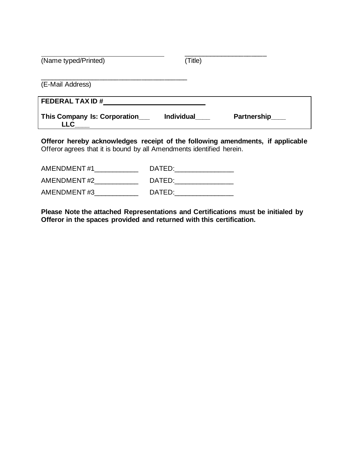| (Name typed/Printed)                         | (Title)           |             |
|----------------------------------------------|-------------------|-------------|
| (E-Mail Address)                             |                   |             |
| <b>FEDERAL TAX ID#</b>                       |                   |             |
| This Company Is: Corporation__<br><b>LLC</b> | <b>Individual</b> | Partnership |
|                                              |                   |             |

**Offeror hereby acknowledges receipt of the following amendments, if applicable**  Offeror agrees that it is bound by all Amendments identified herein.

| AMENDMENT#1 | DATED: |
|-------------|--------|
| AMENDMENT#2 | DATED: |
| AMENDMENT#3 | DATED: |

**Please Note the attached Representations and Certifications must be initialed by Offeror in the spaces provided and returned with this certification.**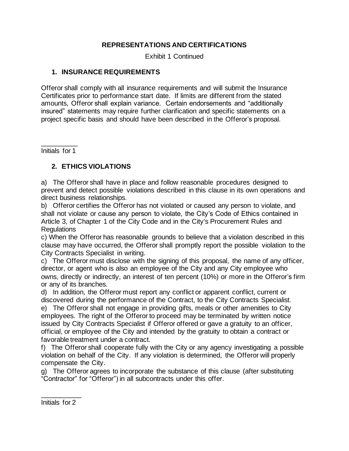# **REPRESENTATIONS AND CERTIFICATIONS**

Exhibit 1 Continued

### **1. INSURANCE REQUIREMENTS**

Offeror shall comply with all insurance requirements and will submit the Insurance Certificates prior to performance start date. If limits are different from the stated amounts, Offeror shall explain variance. Certain endorsements and "additionally insured" statements may require further clarification and specific statements on a project specific basis and should have been described in the Offeror's proposal.

\_\_\_\_\_\_\_\_\_\_ Initials for 1

# **2. ETHICS VIOLATIONS**

a) The Offeror shall have in place and follow reasonable procedures designed to prevent and detect possible violations described in this clause in its own operations and direct business relationships.

b) Offeror certifies the Offeror has not violated or caused any person to violate, and shall not violate or cause any person to violate, the City's Code of Ethics contained in Article 3, of Chapter 1 of the City Code and in the City's Procurement Rules and **Regulations** 

c) When the Offeror has reasonable grounds to believe that a violation described in this clause may have occurred, the Offeror shall promptly report the possible violation to the City Contracts Specialist in writing.

c) The Offeror must disclose with the signing of this proposal, the name of any officer, director, or agent who is also an employee of the City and any City employee who owns, directly or indirectly, an interest of ten percent (10%) or more in the Offeror's firm or any of its branches.

d) In addition, the Offeror must report any conflict or apparent conflict, current or discovered during the performance of the Contract, to the City Contracts Specialist. e) The Offeror shall not engage in providing gifts, meals or other amenities to City employees. The right of the Offeror to proceed may be terminated by written notice issued by City Contracts Specialist if Offeror offered or gave a gratuity to an officer,

official, or employee of the City and intended by the gratuity to obtain a contract or favorable treatment under a contract.

f) The Offeror shall cooperate fully with the City or any agency investigating a possible violation on behalf of the City. If any violation is determined, the Offeror will properly compensate the City.

g) The Offeror agrees to incorporate the substance of this clause (after substituting "Contractor" for "Offeror") in all subcontracts under this offer.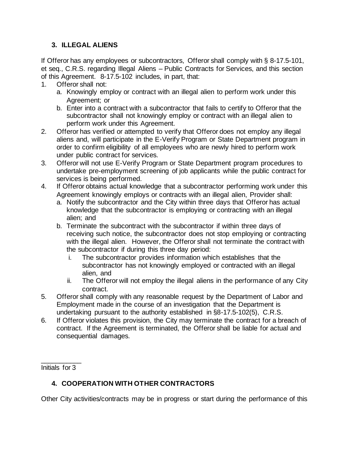# **3. ILLEGAL ALIENS**

If Offeror has any employees or subcontractors, Offeror shall comply with § 8-17.5-101, et seq., C.R.S. regarding Illegal Aliens – Public Contracts for Services, and this section of this Agreement. 8-17.5-102 includes, in part, that:

- 1. Offeror shall not:
	- a. Knowingly employ or contract with an illegal alien to perform work under this Agreement; or
	- b. Enter into a contract with a subcontractor that fails to certify to Offeror that the subcontractor shall not knowingly employ or contract with an illegal alien to perform work under this Agreement.
- 2. Offeror has verified or attempted to verify that Offeror does not employ any illegal aliens and, will participate in the E-Verify Program or State Department program in order to confirm eligibility of all employees who are newly hired to perform work under public contract for services.
- 3. Offeror will not use E-Verify Program or State Department program procedures to undertake pre-employment screening of job applicants while the public contract for services is being performed.
- 4. If Offeror obtains actual knowledge that a subcontractor performing work under this Agreement knowingly employs or contracts with an illegal alien, Provider shall:
	- a. Notify the subcontractor and the City within three days that Offeror has actual knowledge that the subcontractor is employing or contracting with an illegal alien; and
	- b. Terminate the subcontract with the subcontractor if within three days of receiving such notice, the subcontractor does not stop employing or contracting with the illegal alien. However, the Offeror shall not terminate the contract with the subcontractor if during this three day period:
		- i. The subcontractor provides information which establishes that the subcontractor has not knowingly employed or contracted with an illegal alien, and
		- ii. The Offeror will not employ the illegal aliens in the performance of any City contract.
- 5. Offeror shall comply with any reasonable request by the Department of Labor and Employment made in the course of an investigation that the Department is undertaking pursuant to the authority established in §8-17.5-102(5), C.R.S.
- 6. If Offeror violates this provision, the City may terminate the contract for a breach of contract. If the Agreement is terminated, the Offeror shall be liable for actual and consequential damages.

 $\overline{\phantom{a}}$ Initials for 3

# **4. COOPERATION WITH OTHER CONTRACTORS**

Other City activities/contracts may be in progress or start during the performance of this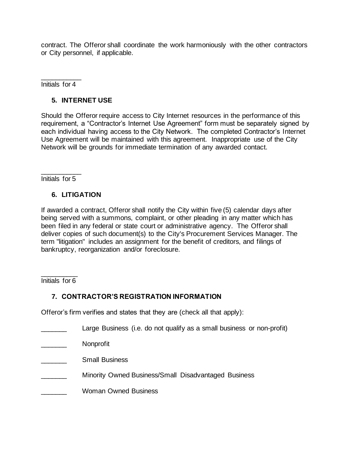contract. The Offeror shall coordinate the work harmoniously with the other contractors or City personnel, if applicable.

\_\_\_\_\_\_\_\_\_\_\_ Initials for 4

### **5. INTERNET USE**

Should the Offeror require access to City Internet resources in the performance of this requirement, a "Contractor's Internet Use Agreement" form must be separately signed by each individual having access to the City Network. The completed Contractor's Internet Use Agreement will be maintained with this agreement. Inappropriate use of the City Network will be grounds for immediate termination of any awarded contact.

\_\_\_\_\_\_\_\_\_\_\_ Initials for 5

### **6. LITIGATION**

If awarded a contract, Offeror shall notify the City within five (5) calendar days after being served with a summons, complaint, or other pleading in any matter which has been filed in any federal or state court or administrative agency. The Offeror shall deliver copies of such document(s) to the City's Procurement Services Manager. The term "litigation" includes an assignment for the benefit of creditors, and filings of bankruptcy, reorganization and/or foreclosure.

 $\overline{\phantom{a}}$ Initials for 6

# **7. CONTRACTOR'S REGISTRATION INFORMATION**

Offeror's firm verifies and states that they are (check all that apply):

- Large Business (i.e. do not qualify as a small business or non-profit)
- Nonprofit
- \_\_\_\_\_\_\_ Small Business
- Minority Owned Business/Small Disadvantaged Business
- Woman Owned Business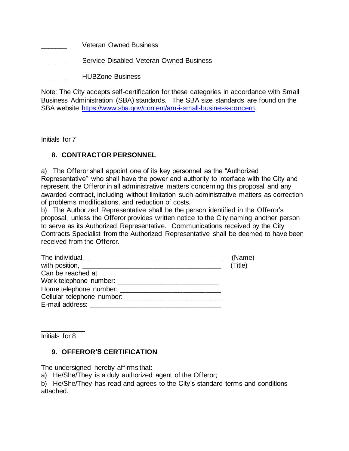Veteran Owned Business

Service-Disabled Veteran Owned Business

\_\_\_\_\_\_\_ HUBZone Business

Note: The City accepts self-certification for these categories in accordance with Small Business Administration (SBA) standards. The SBA size standards are found on the SBA website [https://www.sba.gov/content/am-i-small-business-concern.](https://www.sba.gov/content/am-i-small-business-concern) 

 $\overline{\phantom{a}}$ Initials for 7

#### **8. CONTRACTOR PERSONNEL**

a) The Offeror shall appoint one of its key personnel as the "Authorized Representative" who shall have the power and authority to interface with the City and represent the Offeror in all administrative matters concerning this proposal and any awarded contract, including without limitation such administrative matters as correction of problems modifications, and reduction of costs.

b) The Authorized Representative shall be the person identified in the Offeror's proposal, unless the Offeror provides written notice to the City naming another person to serve as its Authorized Representative. Communications received by the City Contracts Specialist from the Authorized Representative shall be deemed to have been received from the Offeror.

|                                 | (Name)  |
|---------------------------------|---------|
|                                 | (Title) |
| Can be reached at               |         |
|                                 |         |
| Home telephone number:          |         |
| Cellular telephone number:      |         |
| E-mail address: E-mail address: |         |
|                                 |         |

\_\_\_\_\_\_\_\_\_\_\_\_ Initials for 8

### **9. OFFEROR'S CERTIFICATION**

The undersigned hereby affirms that:

a) He/She/They is a duly authorized agent of the Offeror;

b) He/She/They has read and agrees to the City's standard terms and conditions attached.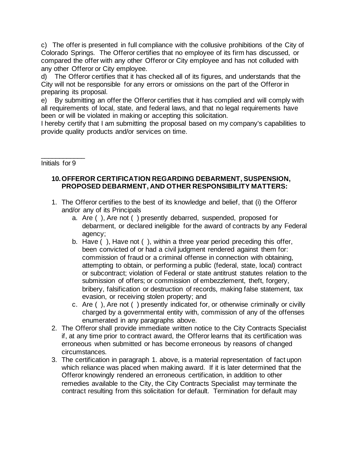c) The offer is presented in full compliance with the collusive prohibitions of the City of Colorado Springs. The Offeror certifies that no employee of its firm has discussed, or compared the offer with any other Offeror or City employee and has not colluded with any other Offeror or City employee.

d) The Offeror certifies that it has checked all of its figures, and understands that the City will not be responsible for any errors or omissions on the part of the Offeror in preparing its proposal.

e) By submitting an offer the Offeror certifies that it has complied and will comply with all requirements of local, state, and federal laws, and that no legal requirements have been or will be violated in making or accepting this solicitation.

I hereby certify that I am submitting the proposal based on my company's capabilities to provide quality products and/or services on time.

Initials for 9

\_\_\_\_\_\_\_\_\_\_\_\_

### **10.OFFEROR CERTIFICATION REGARDING DEBARMENT, SUSPENSION, PROPOSED DEBARMENT, AND OTHER RESPONSIBILITY MATTERS:**

- 1. The Offeror certifies to the best of its knowledge and belief, that (i) the Offeror and/or any of its Principals
	- a. Are ( ), Are not ( ) presently debarred, suspended, proposed for debarment, or declared ineligible for the award of contracts by any Federal agency;
	- b. Have ( ), Have not ( ), within a three year period preceding this offer, been convicted of or had a civil judgment rendered against them for: commission of fraud or a criminal offense in connection with obtaining, attempting to obtain, or performing a public (federal, state, local) contract or subcontract; violation of Federal or state antitrust statutes relation to the submission of offers; or commission of embezzlement, theft, forgery, bribery, falsification or destruction of records, making false statement, tax evasion, or receiving stolen property; and
	- c. Are ( ), Are not ( ) presently indicated for, or otherwise criminally or civilly charged by a governmental entity with, commission of any of the offenses enumerated in any paragraphs above.
- 2. The Offeror shall provide immediate written notice to the City Contracts Specialist if, at any time prior to contract award, the Offeror learns that its certification was erroneous when submitted or has become erroneous by reasons of changed circumstances.
- 3. The certification in paragraph 1. above, is a material representation of fact upon which reliance was placed when making award. If it is later determined that the Offeror knowingly rendered an erroneous certification, in addition to other remedies available to the City, the City Contracts Specialist may terminate the contract resulting from this solicitation for default. Termination for default may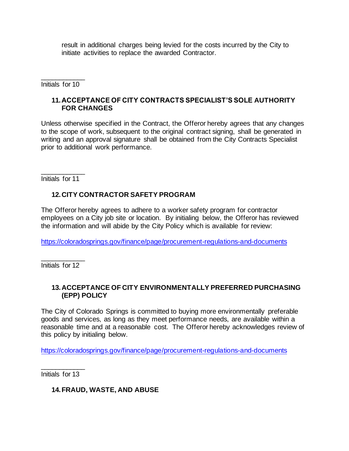result in additional charges being levied for the costs incurred by the City to initiate activities to replace the awarded Contractor.

\_\_\_\_\_\_\_\_\_\_\_\_ Initials for 10

### **11.ACCEPTANCE OF CITY CONTRACTS SPECIALIST'S SOLE AUTHORITY FOR CHANGES**

Unless otherwise specified in the Contract, the Offeror hereby agrees that any changes to the scope of work, subsequent to the original contract signing, shall be generated in writing and an approval signature shall be obtained from the City Contracts Specialist prior to additional work performance.

\_\_\_\_\_\_\_\_\_\_\_\_ Initials for 11

# **12.CITY CONTRACTOR SAFETY PROGRAM**

The Offeror hereby agrees to adhere to a worker safety program for contractor employees on a City job site or location. By initialing below, the Offeror has reviewed the information and will abide by the City Policy which is available for review:

<https://coloradosprings.gov/finance/page/procurement-regulations-and-documents>

\_\_\_\_\_\_\_\_\_\_\_\_ Initials for 12

### **13.ACCEPTANCE OF CITY ENVIRONMENTALLY PREFERRED PURCHASING (EPP) POLICY**

The City of Colorado Springs is committed to buying more environmentally preferable goods and services, as long as they meet performance needs, are available within a reasonable time and at a reasonable cost. The Offeror hereby acknowledges review of this policy by initialing below.

<https://coloradosprings.gov/finance/page/procurement-regulations-and-documents>

\_\_\_\_\_\_\_\_\_\_\_\_ Initials for 13

# **14.FRAUD, WASTE, AND ABUSE**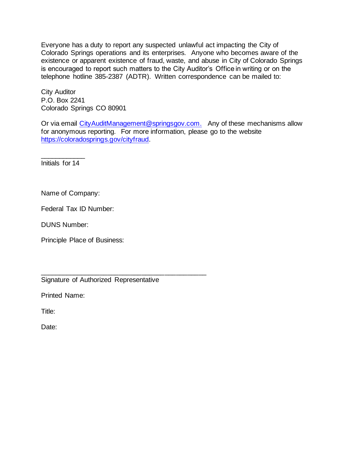Everyone has a duty to report any suspected unlawful act impacting the City of Colorado Springs operations and its enterprises. Anyone who becomes aware of the existence or apparent existence of fraud, waste, and abuse in City of Colorado Springs is encouraged to report such matters to the City Auditor's Office in writing or on the telephone hotline 385-2387 (ADTR). Written correspondence can be mailed to:

City Auditor P.O. Box 2241 Colorado Springs CO 80901

Or via email *CityAuditManagement@springsgov.com.* Any of these mechanisms allow for anonymous reporting. For more information, please go to the website [https://coloradosprings.gov/cityfraud.](https://coloradosprings.gov/cityfraud)

\_\_\_\_\_\_\_\_\_\_\_\_ Initials for 14

Name of Company:

Federal Tax ID Number:

DUNS Number:

Principle Place of Business:

Signature of Authorized Representative

\_\_\_\_\_\_\_\_\_\_\_\_\_\_\_\_\_\_\_\_\_\_\_\_\_\_\_\_\_\_\_\_\_\_\_\_\_\_\_\_\_\_\_\_

Printed Name:

Title:

Date: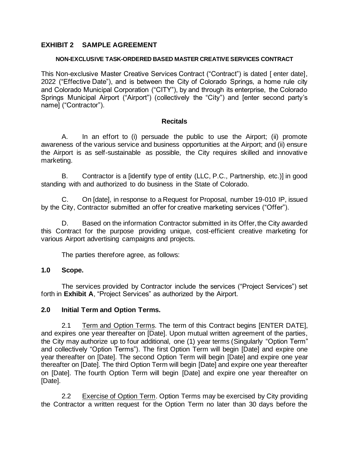# **EXHIBIT 2 SAMPLE AGREEMENT**

#### **NON-EXCLUSIVE TASK-ORDERED BASED MASTER CREATIVE SERVICES CONTRACT**

This Non-exclusive Master Creative Services Contract ("Contract") is dated [ enter date], 2022 ("Effective Date"), and is between the City of Colorado Springs, a home rule city and Colorado Municipal Corporation ("CITY"), by and through its enterprise, the Colorado Springs Municipal Airport ("Airport") (collectively the "City") and [enter second party's name] ("Contractor").

#### **Recitals**

A. In an effort to (i) persuade the public to use the Airport; (ii) promote awareness of the various service and business opportunities at the Airport; and (ii) ensure the Airport is as self-sustainable as possible, the City requires skilled and innovative marketing.

B. Contractor is a [identify type of entity (LLC, P.C., Partnership, etc.)] in good standing with and authorized to do business in the State of Colorado.

C. On [date], in response to a Request for Proposal, number 19-010 IP, issued by the City, Contractor submitted an offer for creative marketing services ("Offer").

D. Based on the information Contractor submitted in its Offer, the City awarded this Contract for the purpose providing unique, cost-efficient creative marketing for various Airport advertising campaigns and projects.

The parties therefore agree, as follows:

### **1.0 Scope.**

The services provided by Contractor include the services ("Project Services") set forth in **Exhibit A**, "Project Services" as authorized by the Airport.

#### **2.0 Initial Term and Option Terms.**

2.1 Term and Option Terms. The term of this Contract begins [ENTER DATE], and expires one year thereafter on [Date]. Upon mutual written agreement of the parties, the City may authorize up to four additional, one (1) year terms (Singularly "Option Term" and collectively "Option Terms"). The first Option Term will begin [Date] and expire one year thereafter on [Date]. The second Option Term will begin [Date] and expire one year thereafter on [Date]. The third Option Term will begin [Date] and expire one year thereafter on [Date]. The fourth Option Term will begin [Date] and expire one year thereafter on [Date].

2.2 Exercise of Option Term. Option Terms may be exercised by City providing the Contractor a written request for the Option Term no later than 30 days before the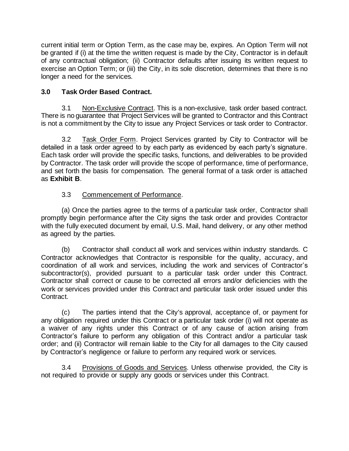current initial term or Option Term, as the case may be, expires. An Option Term will not be granted if (i) at the time the written request is made by the City, Contractor is in default of any contractual obligation; (ii) Contractor defaults after issuing its written request to exercise an Option Term; or (iii) the City, in its sole discretion, determines that there is no longer a need for the services.

# **3.0 Task Order Based Contract.**

3.1 Non-Exclusive Contract. This is a non-exclusive, task order based contract. There is no guarantee that Project Services will be granted to Contractor and this Contract is not a commitment by the City to issue any Project Services or task order to Contractor.

3.2 Task Order Form. Project Services granted by City to Contractor will be detailed in a task order agreed to by each party as evidenced by each party's signature. Each task order will provide the specific tasks, functions, and deliverables to be provided by Contractor. The task order will provide the scope of performance, time of performance, and set forth the basis for compensation. The general format of a task order is attached as **Exhibit B**.

# 3.3 Commencement of Performance.

(a) Once the parties agree to the terms of a particular task order, Contractor shall promptly begin performance after the City signs the task order and provides Contractor with the fully executed document by email, U.S. Mail, hand delivery, or any other method as agreed by the parties.

(b) Contractor shall conduct all work and services within industry standards. C Contractor acknowledges that Contractor is responsible for the quality, accuracy, and coordination of all work and services, including the work and services of Contractor's subcontractor(s), provided pursuant to a particular task order under this Contract. Contractor shall correct or cause to be corrected all errors and/or deficiencies with the work or services provided under this Contract and particular task order issued under this Contract.

(c) The parties intend that the City's approval, acceptance of, or payment for any obligation required under this Contract or a particular task order (i) will not operate as a waiver of any rights under this Contract or of any cause of action arising from Contractor's failure to perform any obligation of this Contract and/or a particular task order; and (ii) Contractor will remain liable to the City for all damages to the City caused by Contractor's negligence or failure to perform any required work or services.

3.4 Provisions of Goods and Services. Unless otherwise provided, the City is not required to provide or supply any goods or services under this Contract.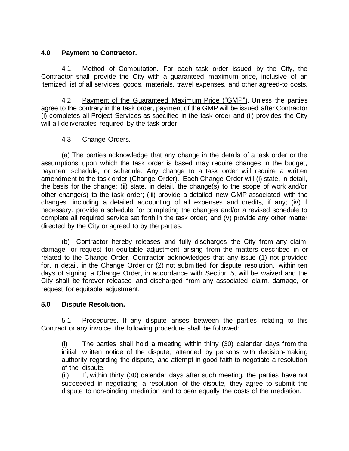### **4.0 Payment to Contractor.**

4.1 Method of Computation. For each task order issued by the City, the Contractor shall provide the City with a guaranteed maximum price, inclusive of an itemized list of all services, goods, materials, travel expenses, and other agreed-to costs.

4.2 Payment of the Guaranteed Maximum Price ("GMP"). Unless the parties agree to the contrary in the task order, payment of the GMP will be issued after Contractor (i) completes all Project Services as specified in the task order and (ii) provides the City will all deliverables required by the task order.

### 4.3 Change Orders.

(a) The parties acknowledge that any change in the details of a task order or the assumptions upon which the task order is based may require changes in the budget, payment schedule, or schedule. Any change to a task order will require a written amendment to the task order (Change Order). Each Change Order will (i) state, in detail, the basis for the change; (ii) state, in detail, the change(s) to the scope of work and/or other change(s) to the task order; (iii) provide a detailed new GMP associated with the changes, including a detailed accounting of all expenses and credits, if any; (iv) if necessary, provide a schedule for completing the changes and/or a revised schedule to complete all required service set forth in the task order; and (v) provide any other matter directed by the City or agreed to by the parties.

(b) Contractor hereby releases and fully discharges the City from any claim, damage, or request for equitable adjustment arising from the matters described in or related to the Change Order. Contractor acknowledges that any issue (1) not provided for, in detail, in the Change Order or (2) not submitted for dispute resolution, within ten days of signing a Change Order, in accordance with Section 5, will be waived and the City shall be forever released and discharged from any associated claim, damage, or request for equitable adjustment.

# **5.0 Dispute Resolution.**

5.1 Procedures. If any dispute arises between the parties relating to this Contract or any invoice, the following procedure shall be followed:

(i) The parties shall hold a meeting within thirty (30) calendar days from the initial written notice of the dispute, attended by persons with decision-making authority regarding the dispute, and attempt in good faith to negotiate a resolution of the dispute.

(ii) If, within thirty (30) calendar days after such meeting, the parties have not succeeded in negotiating a resolution of the dispute, they agree to submit the dispute to non-binding mediation and to bear equally the costs of the mediation.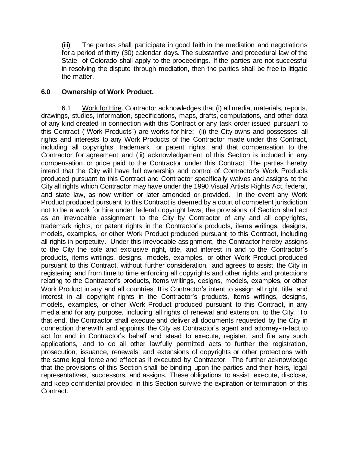(iii) The parties shall participate in good faith in the mediation and negotiations for a period of thirty (30) calendar days. The substantive and procedural law of the State of Colorado shall apply to the proceedings. If the parties are not successful in resolving the dispute through mediation, then the parties shall be free to litigate the matter.

### **6.0 Ownership of Work Product.**

6.1 Work for Hire. Contractor acknowledges that (i) all media, materials, reports, drawings, studies, information, specifications, maps, drafts, computations, and other data of any kind created in connection with this Contract or any task order issued pursuant to this Contract ("Work Products") are works for hire; (ii) the City owns and possesses all rights and interests to any Work Products of the Contractor made under this Contract, including all copyrights, trademark, or patent rights, and that compensation to the Contractor for agreement and (iii) acknowledgement of this Section is included in any compensation or price paid to the Contractor under this Contract. The parties hereby intend that the City will have full ownership and control of Contractor's Work Products produced pursuant to this Contract and Contractor specifically waives and assigns to the City all rights which Contractor may have under the 1990 Visual Artists Rights Act, federal, and state law, as now written or later amended or provided. In the event any Work Product produced pursuant to this Contract is deemed by a court of competent jurisdiction not to be a work for hire under federal copyright laws, the provisions of Section shall act as an irrevocable assignment to the City by Contractor of any and all copyrights, trademark rights, or patent rights in the Contractor's products, items writings, designs, models, examples, or other Work Product produced pursuant to this Contract, including all rights in perpetuity. Under this irrevocable assignment, the Contractor hereby assigns to the City the sole and exclusive right, title, and interest in and to the Contractor's products, items writings, designs, models, examples, or other Work Product produced pursuant to this Contract, without further consideration, and agrees to assist the City in registering and from time to time enforcing all copyrights and other rights and protections relating to the Contractor's products, items writings, designs, models, examples, or other Work Product in any and all countries. It is Contractor's intent to assign all right, title, and interest in all copyright rights in the Contractor's products, items writings, designs, models, examples, or other Work Product produced pursuant to this Contract, in any media and for any purpose, including all rights of renewal and extension, to the City. To that end, the Contractor shall execute and deliver all documents requested by the City in connection therewith and appoints the City as Contractor's agent and attorney-in-fact to act for and in Contractor's behalf and stead to execute, register, and file any such applications, and to do all other lawfully permitted acts to further the registration, prosecution, issuance, renewals, and extensions of copyrights or other protections with the same legal force and effect as if executed by Contractor. The further acknowledge that the provisions of this Section shall be binding upon the parties and their heirs, legal representatives, successors, and assigns. These obligations to assist, execute, disclose, and keep confidential provided in this Section survive the expiration or termination of this Contract.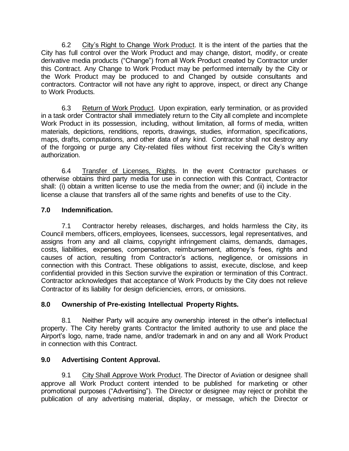6.2 City's Right to Change Work Product. It is the intent of the parties that the City has full control over the Work Product and may change, distort, modify, or create derivative media products ("Change") from all Work Product created by Contractor under this Contract. Any Change to Work Product may be performed internally by the City or the Work Product may be produced to and Changed by outside consultants and contractors. Contractor will not have any right to approve, inspect, or direct any Change to Work Products.

6.3 Return of Work Product. Upon expiration, early termination, or as provided in a task order Contractor shall immediately return to the City all complete and incomplete Work Product in its possession, including, without limitation, all forms of media, written materials, depictions, renditions, reports, drawings, studies, information, specifications, maps, drafts, computations, and other data of any kind. Contractor shall not destroy any of the forgoing or purge any City-related files without first receiving the City's written authorization.

6.4 Transfer of Licenses, Rights. In the event Contractor purchases or otherwise obtains third party media for use in connection with this Contract, Contractor shall: (i) obtain a written license to use the media from the owner; and (ii) include in the license a clause that transfers all of the same rights and benefits of use to the City.

# **7.0 Indemnification.**

7.1 Contractor hereby releases, discharges, and holds harmless the City, its Council members, officers, employees, licensees, successors, legal representatives, and assigns from any and all claims, copyright infringement claims, demands, damages, costs, liabilities, expenses, compensation, reimbursement, attorney's fees, rights and causes of action, resulting from Contractor's actions, negligence, or omissions in connection with this Contract. These obligations to assist, execute, disclose, and keep confidential provided in this Section survive the expiration or termination of this Contract. Contractor acknowledges that acceptance of Work Products by the City does not relieve Contractor of its liability for design deficiencies, errors, or omissions.

# **8.0 Ownership of Pre-existing Intellectual Property Rights.**

8.1 Neither Party will acquire any ownership interest in the other's intellectual property. The City hereby grants Contractor the limited authority to use and place the Airport's logo, name, trade name, and/or trademark in and on any and all Work Product in connection with this Contract.

# **9.0 Advertising Content Approval.**

9.1 City Shall Approve Work Product. The Director of Aviation or designee shall approve all Work Product content intended to be published for marketing or other promotional purposes ("Advertising"). The Director or designee may reject or prohibit the publication of any advertising material, display, or message, which the Director or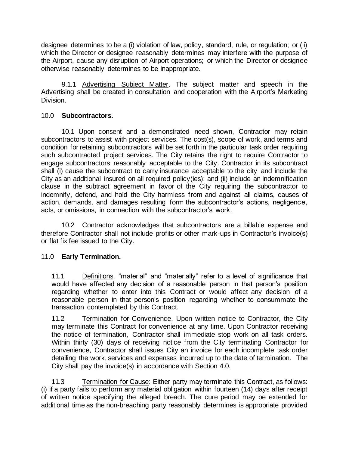designee determines to be a (i) violation of law, policy, standard, rule, or regulation; or (ii) which the Director or designee reasonably determines may interfere with the purpose of the Airport, cause any disruption of Airport operations; or which the Director or designee otherwise reasonably determines to be inappropriate.

9.1.1 Advertising Subject Matter. The subject matter and speech in the Advertising shall be created in consultation and cooperation with the Airport's Marketing Division.

### 10.0 **Subcontractors.**

10.1 Upon consent and a demonstrated need shown, Contractor may retain subcontractors to assist with project services. The cost(s), scope of work, and terms and condition for retaining subcontractors will be set forth in the particular task order requiring such subcontracted project services. The City retains the right to require Contractor to engage subcontractors reasonably acceptable to the City. Contractor in its subcontract shall (i) cause the subcontract to carry insurance acceptable to the city and include the City as an additional insured on all required policy(ies); and (ii) include an indemnification clause in the subtract agreement in favor of the City requiring the subcontractor to indemnify, defend, and hold the City harmless from and against all claims, causes of action, demands, and damages resulting form the subcontractor's actions, negligence, acts, or omissions, in connection with the subcontractor's work.

10.2 Contractor acknowledges that subcontractors are a billable expense and therefore Contractor shall not include profits or other mark-ups in Contractor's invoice(s) or flat fix fee issued to the City.

# 11.0 **Early Termination.**

11.1 Definitions. "material" and "materially" refer to a level of significance that would have affected any decision of a reasonable person in that person's position regarding whether to enter into this Contract or would affect any decision of a reasonable person in that person's position regarding whether to consummate the transaction contemplated by this Contract.

11.2 Termination for Convenience. Upon written notice to Contractor, the City may terminate this Contract for convenience at any time. Upon Contractor receiving the notice of termination, Contractor shall immediate stop work on all task orders. Within thirty (30) days of receiving notice from the City terminating Contractor for convenience, Contractor shall issues City an invoice for each incomplete task order detailing the work, services and expenses incurred up to the date of termination. The City shall pay the invoice(s) in accordance with Section 4.0.

11.3 Termination for Cause: Either party may terminate this Contract, as follows: (i) if a party fails to perform any material obligation within fourteen (14) days after receipt of written notice specifying the alleged breach. The cure period may be extended for additional time as the non-breaching party reasonably determines is appropriate provided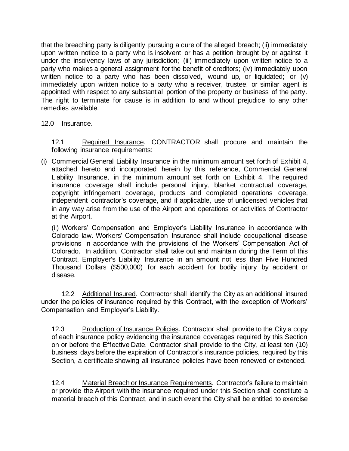that the breaching party is diligently pursuing a cure of the alleged breach; (ii) immediately upon written notice to a party who is insolvent or has a petition brought by or against it under the insolvency laws of any jurisdiction; (iii) immediately upon written notice to a party who makes a general assignment for the benefit of creditors; (iv) immediately upon written notice to a party who has been dissolved, wound up, or liquidated; or (v) immediately upon written notice to a party who a receiver, trustee, or similar agent is appointed with respect to any substantial portion of the property or business of the party. The right to terminate for cause is in addition to and without prejudice to any other remedies available.

12.0 Insurance.

12.1 Required Insurance. CONTRACTOR shall procure and maintain the following insurance requirements:

(i) Commercial General Liability Insurance in the minimum amount set forth of Exhibit 4, attached hereto and incorporated herein by this reference, Commercial General Liability Insurance, in the minimum amount set forth on Exhibit 4. The required insurance coverage shall include personal injury, blanket contractual coverage, copyright infringement coverage, products and completed operations coverage, independent contractor's coverage, and if applicable, use of unlicensed vehicles that in any way arise from the use of the Airport and operations or activities of Contractor at the Airport.

(ii) Workers' Compensation and Employer's Liability Insurance in accordance with Colorado law. Workers' Compensation Insurance shall include occupational disease provisions in accordance with the provisions of the Workers' Compensation Act of Colorado. In addition, Contractor shall take out and maintain during the Term of this Contract, Employer's Liability Insurance in an amount not less than Five Hundred Thousand Dollars (\$500,000) for each accident for bodily injury by accident or disease.

12.2 Additional Insured. Contractor shall identify the City as an additional insured under the policies of insurance required by this Contract, with the exception of Workers' Compensation and Employer's Liability.

12.3 Production of Insurance Policies. Contractor shall provide to the City a copy of each insurance policy evidencing the insurance coverages required by this Section on or before the Effective Date. Contractor shall provide to the City, at least ten (10) business days before the expiration of Contractor's insurance policies, required by this Section, a certificate showing all insurance policies have been renewed or extended.

12.4 Material Breach or Insurance Requirements. Contractor's failure to maintain or provide the Airport with the insurance required under this Section shall constitute a material breach of this Contract, and in such event the City shall be entitled to exercise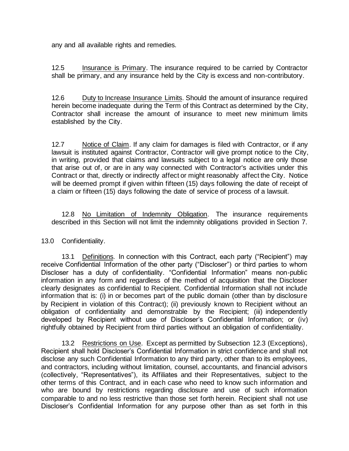any and all available rights and remedies.

12.5 Insurance is Primary. The insurance required to be carried by Contractor shall be primary, and any insurance held by the City is excess and non-contributory.

12.6 Duty to Increase Insurance Limits. Should the amount of insurance required herein become inadequate during the Term of this Contract as determined by the City, Contractor shall increase the amount of insurance to meet new minimum limits established by the City.

12.7 Notice of Claim. If any claim for damages is filed with Contractor, or if any lawsuit is instituted against Contractor, Contractor will give prompt notice to the City, in writing, provided that claims and lawsuits subject to a legal notice are only those that arise out of, or are in any way connected with Contractor's activities under this Contract or that, directly or indirectly affect or might reasonably affect the City. Notice will be deemed prompt if given within fifteen (15) days following the date of receipt of a claim or fifteen (15) days following the date of service of process of a lawsuit.

12.8 No Limitation of Indemnity Obligation. The insurance requirements described in this Section will not limit the indemnity obligations provided in Section 7.

#### 13.0 Confidentiality.

13.1 Definitions. In connection with this Contract, each party ("Recipient") may receive Confidential Information of the other party ("Discloser") or third parties to whom Discloser has a duty of confidentiality. "Confidential Information" means non-public information in any form and regardless of the method of acquisition that the Discloser clearly designates as confidential to Recipient. Confidential Information shall not include information that is: (i) in or becomes part of the public domain (other than by disclosure by Recipient in violation of this Contract); (ii) previously known to Recipient without an obligation of confidentiality and demonstrable by the Recipient; (iii) independently developed by Recipient without use of Discloser's Confidential Information; or (iv) rightfully obtained by Recipient from third parties without an obligation of confidentiality.

13.2 Restrictions on Use. Except as permitted by Subsection 12.3 (Exceptions), Recipient shall hold Discloser's Confidential Information in strict confidence and shall not disclose any such Confidential Information to any third party, other than to its employees, and contractors, including without limitation, counsel, accountants, and financial advisors (collectively, "Representatives"), its Affiliates and their Representatives, subject to the other terms of this Contract, and in each case who need to know such information and who are bound by restrictions regarding disclosure and use of such information comparable to and no less restrictive than those set forth herein. Recipient shall not use Discloser's Confidential Information for any purpose other than as set forth in this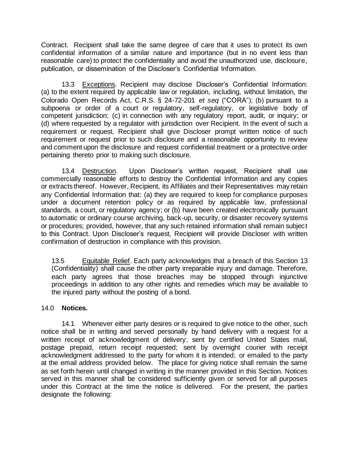Contract. Recipient shall take the same degree of care that it uses to protect its own confidential information of a similar nature and importance (but in no event less than reasonable care) to protect the confidentiality and avoid the unauthorized use, disclosure, publication, or dissemination of the Discloser's Confidential Information.

13.3 Exceptions. Recipient may disclose Discloser's Confidential Information: (a) to the extent required by applicable law or regulation, including, without limitation, the Colorado Open Records Act, C.R.S. § 24-72-201 *et seq* ("CORA"); (b) pursuant to a subpoena or order of a court or regulatory, self-regulatory, or legislative body of competent jurisdiction; (c) in connection with any regulatory report, audit, or inquiry; or (d) where requested by a regulator with jurisdiction over Recipient. In the event of such a requirement or request, Recipient shall give Discloser prompt written notice of such requirement or request prior to such disclosure and a reasonable opportunity to review and comment upon the disclosure and request confidential treatment or a protective order pertaining thereto prior to making such disclosure.

13.4 Destruction. Upon Discloser's written request, Recipient shall use commercially reasonable efforts to destroy the Confidential Information and any copies or extracts thereof. However, Recipient, its Affiliates and their Representatives may retain any Confidential Information that: (a) they are required to keep for compliance purposes under a document retention policy or as required by applicable law, professional standards, a court, or regulatory agency; or (b) have been created electronically pursuant to automatic or ordinary course archiving, back-up, security, or disaster recovery systems or procedures; provided, however, that any such retained information shall remain subject to this Contract. Upon Discloser's request, Recipient will provide Discloser with written confirmation of destruction in compliance with this provision.

13.5 Equitable Relief. Each party acknowledges that a breach of this Section 13 (Confidentiality) shall cause the other party irreparable injury and damage. Therefore, each party agrees that those breaches may be stopped through injunctive proceedings in addition to any other rights and remedies which may be available to the injured party without the posting of a bond.

#### 14.0 **Notices.**

14.1 Whenever either party desires or is required to give notice to the other, such notice shall be in writing and served personally by hand delivery with a request for a written receipt of acknowledgment of delivery; sent by certified United States mail, postage prepaid, return receipt requested; sent by overnight courier with receipt acknowledgment addressed to the party for whom it is intended; or emailed to the party at the email address provided below. The place for giving notice shall remain the same as set forth herein until changed in writing in the manner provided in this Section. Notices served in this manner shall be considered sufficiently given or served for all purposes under this Contract at the time the notice is delivered. For the present, the parties designate the following: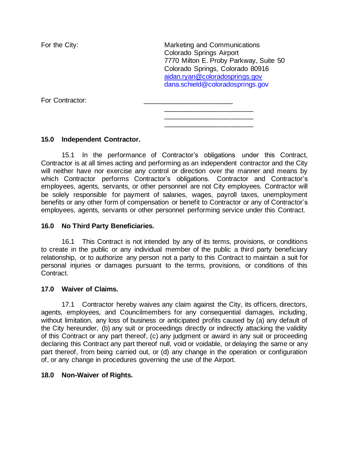For the City: Marketing and Communications Colorado Springs Airport 7770 Milton E. Proby Parkway, Suite 50 Colorado Springs, Colorado 80916 [aidan.ryan@coloradosprings.gov](mailto:aidan.ryan@coloradosprings.gov) dana.schield@coloradosprings.gov For Contractor: \_\_\_\_\_\_\_\_\_\_\_\_\_\_\_\_\_\_\_\_\_\_\_\_

#### **15.0 Independent Contractor.**

15.1 In the performance of Contractor's obligations under this Contract, Contractor is at all times acting and performing as an independent contractor and the City will neither have nor exercise any control or direction over the manner and means by which Contractor performs Contractor's obligations. Contractor and Contractor's employees, agents, servants, or other personnel are not City employees. Contractor will be solely responsible for payment of salaries, wages, payroll taxes, unemployment benefits or any other form of compensation or benefit to Contractor or any of Contractor's employees, agents, servants or other personnel performing service under this Contract.

\_\_\_\_\_\_\_\_\_\_\_\_\_\_\_\_\_\_\_\_\_\_\_\_ \_\_\_\_\_\_\_\_\_\_\_\_\_\_\_\_\_\_\_\_\_\_\_\_

#### **16.0 No Third Party Beneficiaries.**

16.1 This Contract is not intended by any of its terms, provisions, or conditions to create in the public or any individual member of the public a third party beneficiary relationship, or to authorize any person not a party to this Contract to maintain a suit for personal injuries or damages pursuant to the terms, provisions, or conditions of this Contract.

#### **17.0 Waiver of Claims.**

17.1 Contractor hereby waives any claim against the City, its officers, directors, agents, employees, and Councilmembers for any consequential damages, including, without limitation, any loss of business or anticipated profits caused by (a) any default of the City hereunder, (b) any suit or proceedings directly or indirectly attacking the validity of this Contract or any part thereof, (c) any judgment or award in any suit or proceeding declaring this Contract any part thereof null, void or voidable, or delaying the same or any part thereof, from being carried out, or (d) any change in the operation or configuration of, or any change in procedures governing the use of the Airport.

#### **18.0 Non-Waiver of Rights.**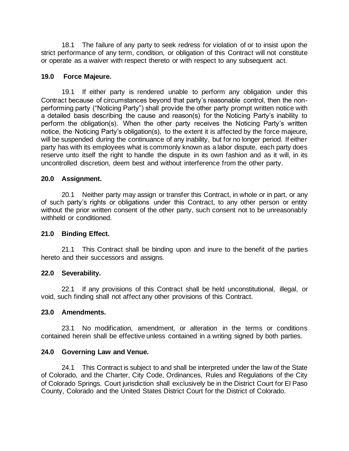18.1 The failure of any party to seek redress for violation of or to insist upon the strict performance of any term, condition, or obligation of this Contract will not constitute or operate as a waiver with respect thereto or with respect to any subsequent act.

### **19.0 Force Majeure.**

19.1 If either party is rendered unable to perform any obligation under this Contract because of circumstances beyond that party's reasonable control, then the nonperforming party ("Noticing Party") shall provide the other party prompt written notice with a detailed basis describing the cause and reason(s) for the Noticing Party's inability to perform the obligation(s). When the other party receives the Noticing Party's written notice, the Noticing Party's obligation(s), to the extent it is affected by the force majeure, will be suspended during the continuance of any inability, but for no longer period. If either party has with its employees what is commonly known as a labor dispute, each party does reserve unto itself the right to handle the dispute in its own fashion and as it will, in its uncontrolled discretion, deem best and without interference from the other party.

### **20.0 Assignment.**

20.1 Neither party may assign or transfer this Contract, in whole or in part, or any of such party's rights or obligations under this Contract, to any other person or entity without the prior written consent of the other party, such consent not to be unreasonably withheld or conditioned.

#### **21.0 Binding Effect.**

21.1 This Contract shall be binding upon and inure to the benefit of the parties hereto and their successors and assigns.

#### **22.0 Severability.**

22.1 If any provisions of this Contract shall be held unconstitutional, illegal, or void, such finding shall not affect any other provisions of this Contract.

#### **23.0 Amendments.**

23.1 No modification, amendment, or alteration in the terms or conditions contained herein shall be effective unless contained in a writing signed by both parties.

#### **24.0 Governing Law and Venue.**

24.1 This Contract is subject to and shall be interpreted under the law of the State of Colorado, and the Charter, City Code, Ordinances, Rules and Regulations of the City of Colorado Springs. Court jurisdiction shall exclusively be in the District Court for El Paso County, Colorado and the United States District Court for the District of Colorado.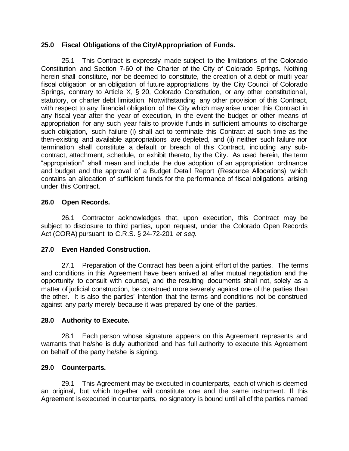### **25.0 Fiscal Obligations of the City/Appropriation of Funds.**

25.1 This Contract is expressly made subject to the limitations of the Colorado Constitution and Section 7-60 of the Charter of the City of Colorado Springs. Nothing herein shall constitute, nor be deemed to constitute, the creation of a debt or multi-year fiscal obligation or an obligation of future appropriations by the City Council of Colorado Springs, contrary to Article X, § 20, Colorado Constitution, or any other constitutional, statutory, or charter debt limitation. Notwithstanding any other provision of this Contract, with respect to any financial obligation of the City which may arise under this Contract in any fiscal year after the year of execution, in the event the budget or other means of appropriation for any such year fails to provide funds in sufficient amounts to discharge such obligation, such failure (i) shall act to terminate this Contract at such time as the then-existing and available appropriations are depleted, and (ii) neither such failure nor termination shall constitute a default or breach of this Contract, including any subcontract, attachment, schedule, or exhibit thereto, by the City. As used herein, the term "appropriation" shall mean and include the due adoption of an appropriation ordinance and budget and the approval of a Budget Detail Report (Resource Allocations) which contains an allocation of sufficient funds for the performance of fiscal obligations arising under this Contract.

# **26.0 Open Records.**

26.1 Contractor acknowledges that, upon execution, this Contract may be subject to disclosure to third parties, upon request, under the Colorado Open Records Act (CORA) pursuant to C.R.S. § 24-72-201 *et seq.*

#### **27.0 Even Handed Construction.**

27.1 Preparation of the Contract has been a joint effort of the parties. The terms and conditions in this Agreement have been arrived at after mutual negotiation and the opportunity to consult with counsel, and the resulting documents shall not, solely as a matter of judicial construction, be construed more severely against one of the parties than the other. It is also the parties' intention that the terms and conditions not be construed against any party merely because it was prepared by one of the parties.

#### **28.0 Authority to Execute.**

28.1 Each person whose signature appears on this Agreement represents and warrants that he/she is duly authorized and has full authority to execute this Agreement on behalf of the party he/she is signing.

#### **29.0 Counterparts.**

29.1 This Agreement may be executed in counterparts, each of which is deemed an original, but which together will constitute one and the same instrument. If this Agreement is executed in counterparts, no signatory is bound until all of the parties named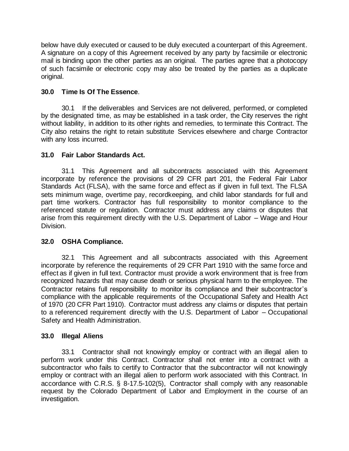below have duly executed or caused to be duly executed a counterpart of this Agreement. A signature on a copy of this Agreement received by any party by facsimile or electronic mail is binding upon the other parties as an original. The parties agree that a photocopy of such facsimile or electronic copy may also be treated by the parties as a duplicate original.

# **30.0 Time Is Of The Essence**.

30.1 If the deliverables and Services are not delivered, performed, or completed by the designated time, as may be established in a task order, the City reserves the right without liability, in addition to its other rights and remedies, to terminate this Contract. The City also retains the right to retain substitute Services elsewhere and charge Contractor with any loss incurred.

# **31.0 Fair Labor Standards Act.**

31.1 This Agreement and all subcontracts associated with this Agreement incorporate by reference the provisions of 29 CFR part 201, the Federal Fair Labor Standards Act (FLSA), with the same force and effect as if given in full text. The FLSA sets minimum wage, overtime pay, recordkeeping, and child labor standards for full and part time workers. Contractor has full responsibility to monitor compliance to the referenced statute or regulation. Contractor must address any claims or disputes that arise from this requirement directly with the U.S. Department of Labor – Wage and Hour Division.

# **32.0 OSHA Compliance.**

32.1 This Agreement and all subcontracts associated with this Agreement incorporate by reference the requirements of 29 CFR Part 1910 with the same force and effect as if given in full text. Contractor must provide a work environment that is free from recognized hazards that may cause death or serious physical harm to the employee. The Contractor retains full responsibility to monitor its compliance and their subcontractor's compliance with the applicable requirements of the Occupational Safety and Health Act of 1970 (20 CFR Part 1910). Contractor must address any claims or disputes that pertain to a referenced requirement directly with the U.S. Department of Labor – Occupational Safety and Health Administration.

# **33.0 Illegal Aliens**

33.1 Contractor shall not knowingly employ or contract with an illegal alien to perform work under this Contract. Contractor shall not enter into a contract with a subcontractor who fails to certify to Contractor that the subcontractor will not knowingly employ or contract with an illegal alien to perform work associated with this Contract. In accordance with C.R.S. § 8-17.5-102(5), Contractor shall comply with any reasonable request by the Colorado Department of Labor and Employment in the course of an investigation.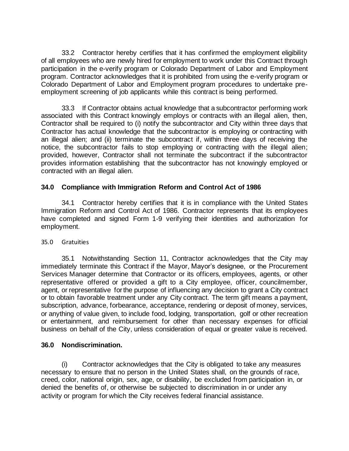33.2 Contractor hereby certifies that it has confirmed the employment eligibility of all employees who are newly hired for employment to work under this Contract through participation in the e-verify program or Colorado Department of Labor and Employment program. Contractor acknowledges that it is prohibited from using the e-verify program or Colorado Department of Labor and Employment program procedures to undertake preemployment screening of job applicants while this contract is being performed.

33.3 If Contractor obtains actual knowledge that a subcontractor performing work associated with this Contract knowingly employs or contracts with an illegal alien, then, Contractor shall be required to (i) notify the subcontractor and City within three days that Contractor has actual knowledge that the subcontractor is employing or contracting with an illegal alien; and (ii) terminate the subcontract if, within three days of receiving the notice, the subcontractor fails to stop employing or contracting with the illegal alien; provided, however, Contractor shall not terminate the subcontract if the subcontractor provides information establishing that the subcontractor has not knowingly employed or contracted with an illegal alien.

# **34.0 Compliance with Immigration Reform and Control Act of 1986**

34.1 Contractor hereby certifies that it is in compliance with the United States Immigration Reform and Control Act of 1986. Contractor represents that its employees have completed and signed Form 1-9 verifying their identities and authorization for employment.

#### 35.0 Gratuities

35.1 Notwithstanding Section 11, Contractor acknowledges that the City may immediately terminate this Contract if the Mayor, Mayor's designee, or the Procurement Services Manager determine that Contractor or its officers, employees, agents, or other representative offered or provided a gift to a City employee, officer, councilmember, agent, or representative for the purpose of influencing any decision to grant a City contract or to obtain favorable treatment under any City contract. The term gift means a payment, subscription, advance, forbearance, acceptance, rendering or deposit of money, services, or anything of value given, to include food, lodging, transportation, golf or other recreation or entertainment, and reimbursement for other than necessary expenses for official business on behalf of the City, unless consideration of equal or greater value is received.

#### **36.0 Nondiscrimination.**

(i) Contractor acknowledges that the City is obligated to take any measures necessary to ensure that no person in the United States shall, on the grounds of race, creed, color, national origin, sex, age, or disability, be excluded from participation in, or denied the benefits of, or otherwise be subjected to discrimination in or under any activity or program for which the City receives federal financial assistance.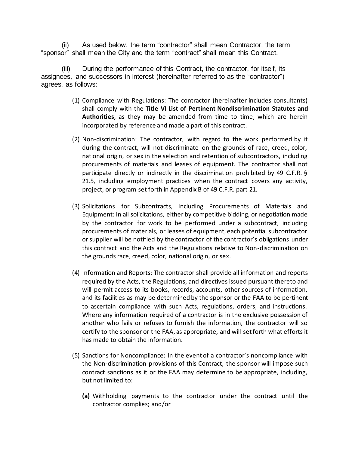(ii) As used below, the term "contractor" shall mean Contractor, the term "sponsor" shall mean the City and the term "contract" shall mean this Contract.

(iii) During the performance of this Contract, the contractor, for itself, its assignees, and successors in interest (hereinafter referred to as the "contractor") agrees, as follows:

- (1) Compliance with Regulations: The contractor (hereinafter includes consultants) shall comply with the **Title VI List of Pertinent Nondiscrimination Statutes and Authorities**, as they may be amended from time to time, which are herein incorporated by reference and made a part of this contract.
- (2) Non-discrimination: The contractor, with regard to the work performed by it during the contract, will not discriminate on the grounds of race, creed, color, national origin, or sex in the selection and retention of subcontractors, including procurements of materials and leases of equipment. The contractor shall not participate directly or indirectly in the discrimination prohibited by 49 C.F.R. § 21.5, including employment practices when the contract covers any activity, project, or program set forth in Appendix B of 49 C.F.R. part 21.
- (3) Solicitations for Subcontracts, Including Procurements of Materials and Equipment: In all solicitations, either by competitive bidding, or negotiation made by the contractor for work to be performed under a subcontract, including procurements of materials, or leases of equipment, each potential subcontractor or supplier will be notified by the contractor of the contractor's obligations under this contract and the Acts and the Regulations relative to Non-discrimination on the grounds race, creed, color, national origin, or sex.
- (4) Information and Reports: The contractor shall provide all information and reports required by the Acts, the Regulations, and directives issued pursuant thereto and will permit access to its books, records, accounts, other sources of information, and its facilities as may be determined by the sponsor or the FAA to be pertinent to ascertain compliance with such Acts, regulations, orders, and instructions. Where any information required of a contractor is in the exclusive possession of another who fails or refuses to furnish the information, the contractor will so certify to the sponsor or the FAA, as appropriate, and will set forth what efforts it has made to obtain the information.
- (5) Sanctions for Noncompliance: In the event of a contractor's noncompliance with the Non-discrimination provisions of this Contract, the sponsor will impose such contract sanctions as it or the FAA may determine to be appropriate, including, but not limited to:
	- **(a)** Withholding payments to the contractor under the contract until the contractor complies; and/or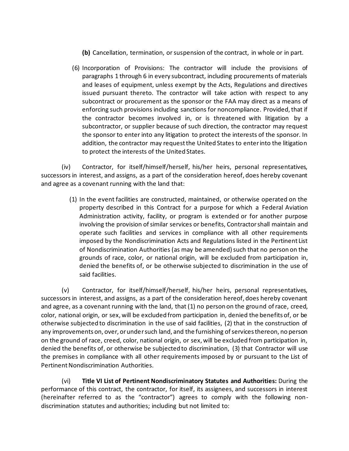- **(b)** Cancellation, termination, or suspension of the contract, in whole or in part.
- (6) Incorporation of Provisions: The contractor will include the provisions of paragraphs 1 through 6 in every subcontract, including procurements of materials and leases of equipment, unless exempt by the Acts, Regulations and directives issued pursuant thereto. The contractor will take action with respect to any subcontract or procurement as the sponsor or the FAA may direct as a means of enforcing such provisions including sanctions for noncompliance. Provided, that if the contractor becomes involved in, or is threatened with litigation by a subcontractor, or supplier because of such direction, the contractor may request the sponsor to enter into any litigation to protect the interests of the sponsor. In addition, the contractor may request the United States to enter into the litigation to protect the interests of the United States.

(iv) Contractor, for itself/himself/herself, his/her heirs, personal representatives, successors in interest, and assigns, as a part of the consideration hereof, does hereby covenant and agree as a covenant running with the land that:

> (1) In the event facilities are constructed, maintained, or otherwise operated on the property described in this Contract for a purpose for which a Federal Aviation Administration activity, facility, or program is extended or for another purpose involving the provision of similar services or benefits, Contractorshall maintain and operate such facilities and services in compliance with all other requirements imposed by the Nondiscrimination Acts and Regulations listed in the Pertinent List of Nondiscrimination Authorities (as may be amended) such that no person on the grounds of race, color, or national origin, will be excluded from participation in, denied the benefits of, or be otherwise subjected to discrimination in the use of said facilities.

(v) Contractor, for itself/himself/herself, his/her heirs, personal representatives, successors in interest, and assigns, as a part of the consideration hereof, does hereby covenant and agree, as a covenant running with the land, that (1) no person on the ground of race, creed, color, national origin, or sex, will be excluded from participation in, denied the benefits of, or be otherwise subjected to discrimination in the use of said facilities, (2) that in the construction of any improvements on, over, or under such land, and the furnishing of services thereon, no person on the ground of race, creed, color, national origin, or sex, will be excluded from participation in, denied the benefits of, or otherwise be subjected to discrimination, (3) that Contractor will use the premises in compliance with all other requirements imposed by or pursuant to the List of Pertinent Nondiscrimination Authorities.

(vi) **Title VI List of Pertinent Nondiscriminatory Statutes and Authorities:** During the performance of this contract, the contractor, for itself, its assignees, and successors in interest (hereinafter referred to as the "contractor") agrees to comply with the following nondiscrimination statutes and authorities; including but not limited to: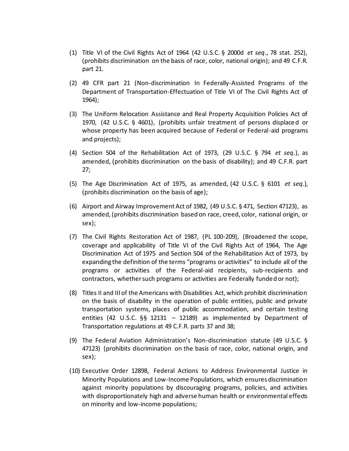- (1) Title VI of the Civil Rights Act of 1964 (42 U.S.C. § 2000d *et seq*., 78 stat. 252), (prohibits discrimination on the basis of race, color, national origin); and 49 C.F.R. part 21.
- (2) 49 CFR part 21 (Non-discrimination In Federally-Assisted Programs of the Department of Transportation-Effectuation of Title VI of The Civil Rights Act of 1964);
- (3) The Uniform Relocation Assistance and Real Property Acquisition Policies Act of 1970, (42 U.S.C. § 4601), (prohibits unfair treatment of persons displaced or whose property has been acquired because of Federal or Federal-aid programs and projects);
- (4) Section 504 of the Rehabilitation Act of 1973, (29 U.S.C. § 794 *et seq*.), as amended, (prohibits discrimination on the basis of disability); and 49 C.F.R. part 27;
- (5) The Age Discrimination Act of 1975, as amended, (42 U.S.C. § 6101 *et seq*.), (prohibits discrimination on the basis of age);
- (6) Airport and Airway Improvement Act of 1982, (49 U.S.C. § 471, Section 47123), as amended, (prohibits discrimination based on race, creed, color, national origin, or sex);
- (7) The Civil Rights Restoration Act of 1987, (PL 100-209), (Broadened the scope, coverage and applicability of Title VI of the Civil Rights Act of 1964, The Age Discrimination Act of 1975 and Section 504 of the Rehabilitation Act of 1973, by expanding the definition of the terms "programs or activities" to include all of the programs or activities of the Federal-aid recipients, sub-recipients and contractors, whether such programs or activities are Federally funded or not);
- (8) Titles II and III of the Americans with Disabilities Act, which prohibit discrimination on the basis of disability in the operation of public entities, public and private transportation systems, places of public accommodation, and certain testing entities (42 U.S.C. §§ 12131 – 12189) as implemented by Department of Transportation regulations at 49 C.F.R. parts 37 and 38;
- (9) The Federal Aviation Administration's Non-discrimination statute (49 U.S.C. § 47123) (prohibits discrimination on the basis of race, color, national origin, and sex);
- (10) Executive Order 12898, Federal Actions to Address Environmental Justice in Minority Populations and Low-Income Populations, which ensures discrimination against minority populations by discouraging programs, policies, and activities with disproportionately high and adverse human health or environmental effects on minority and low-income populations;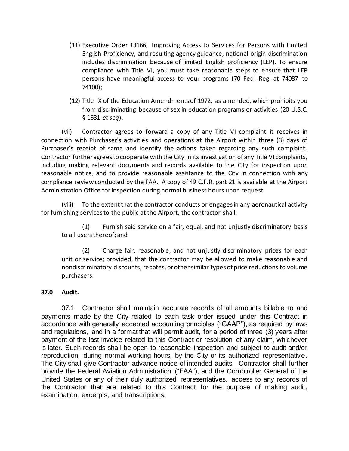- (11) Executive Order 13166, Improving Access to Services for Persons with Limited English Proficiency, and resulting agency guidance, national origin discrimination includes discrimination because of limited English proficiency (LEP). To ensure compliance with Title VI, you must take reasonable steps to ensure that LEP persons have meaningful access to your programs (70 Fed. Reg. at 74087 to 74100);
- (12) Title IX of the Education Amendments of 1972, as amended, which prohibits you from discriminating because of sex in education programs or activities (20 U.S.C. § 1681 *et seq*).

(vii) Contractor agrees to forward a copy of any Title VI complaint it receives in connection with Purchaser's activities and operations at the Airport within three (3) days of Purchaser's receipt of same and identify the actions taken regarding any such complaint. Contractor further agrees to cooperate with the City in its investigation of any Title VI complaints, including making relevant documents and records available to the City for inspection upon reasonable notice, and to provide reasonable assistance to the City in connection with any compliance review conducted by the FAA. A copy of 49 C.F.R. part 21 is available at the Airport Administration Office for inspection during normal business hours upon request.

(viii) To the extent that the contractor conducts or engages in any aeronautical activity for furnishing services to the public at the Airport, the contractor shall:

(1) Furnish said service on a fair, equal, and not unjustly discriminatory basis to all users thereof; and

(2) Charge fair, reasonable, and not unjustly discriminatory prices for each unit or service; provided, that the contractor may be allowed to make reasonable and nondiscriminatory discounts, rebates, or other similar types of price reductions to volume purchasers.

#### **37.0 Audit.**

37.1 Contractor shall maintain accurate records of all amounts billable to and payments made by the City related to each task order issued under this Contract in accordance with generally accepted accounting principles ("GAAP"), as required by laws and regulations, and in a format that will permit audit, for a period of three (3) years after payment of the last invoice related to this Contract or resolution of any claim, whichever is later. Such records shall be open to reasonable inspection and subject to audit and/or reproduction, during normal working hours, by the City or its authorized representative. The City shall give Contractor advance notice of intended audits. Contractor shall further provide the Federal Aviation Administration ("FAA"), and the Comptroller General of the United States or any of their duly authorized representatives, access to any records of the Contractor that are related to this Contract for the purpose of making audit, examination, excerpts, and transcriptions.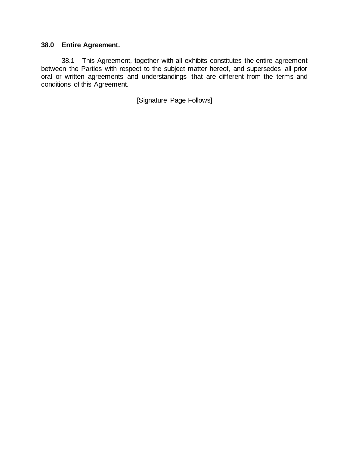### **38.0 Entire Agreement.**

38.1 This Agreement, together with all exhibits constitutes the entire agreement between the Parties with respect to the subject matter hereof, and supersedes all prior oral or written agreements and understandings that are different from the terms and conditions of this Agreement.

[Signature Page Follows]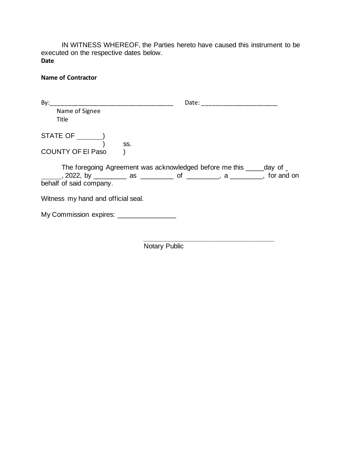IN WITNESS WHEREOF, the Parties hereto have caused this instrument to be executed on the respective dates below. **Date**

#### **Name of Contractor**

| By:                                                                                                                                                                      |     | Date: |  |
|--------------------------------------------------------------------------------------------------------------------------------------------------------------------------|-----|-------|--|
| Name of Signee<br>Title                                                                                                                                                  |     |       |  |
|                                                                                                                                                                          | SS. |       |  |
| <b>COUNTY OF EI Paso</b>                                                                                                                                                 |     |       |  |
| The foregoing Agreement was acknowledged before me this _____ day of<br>_, 2022, by _________ as _________ of ________, a _______, for and on<br>behalf of said company. |     |       |  |
| Witness my hand and official seal.                                                                                                                                       |     |       |  |
| My Commission expires: __________________                                                                                                                                |     |       |  |
|                                                                                                                                                                          |     |       |  |

Notary Public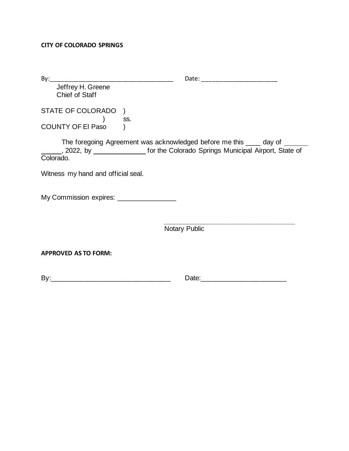#### **CITY OF COLORADO SPRINGS**

By:\_\_\_\_\_\_\_\_\_\_\_\_\_\_\_\_\_\_\_\_\_\_\_\_\_\_\_\_\_\_\_\_\_\_\_\_ Date: \_\_\_\_\_\_\_\_\_\_\_\_\_\_\_\_\_\_\_\_\_\_

Jeffrey H. Greene Chief of Staff

STATE OF COLORADO ) ) ss. COUNTY OF EI Paso )

The foregoing Agreement was acknowledged before me this \_\_\_\_ day of \_\_\_\_\_\_ \_\_, 2022, by \_\_\_\_\_\_\_\_\_\_\_\_\_\_\_ for the Colorado Springs Municipal Airport, State of Colorado.

Witness my hand and official seal.

My Commission expires: \_\_\_\_\_\_\_\_\_\_\_\_\_\_\_\_\_\_

Notary Public

**APPROVED AS TO FORM:**

By:\_\_\_\_\_\_\_\_\_\_\_\_\_\_\_\_\_\_\_\_\_\_\_\_\_\_\_\_\_\_\_\_ Date:\_\_\_\_\_\_\_\_\_\_\_\_\_\_\_\_\_\_\_\_\_\_\_

*\_\_\_\_\_\_\_\_\_\_\_\_\_\_\_\_\_\_\_\_\_\_\_\_\_\_\_\_\_\_\_\_\_\_\_*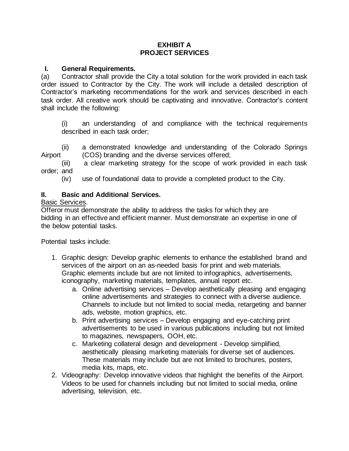#### **EXHIBIT A PROJECT SERVICES**

### **I. General Requirements.**

(a) Contractor shall provide the City a total solution for the work provided in each task order issued to Contractor by the City. The work will include a detailed description of Contractor's marketing recommendations for the work and services described in each task order. All creative work should be captivating and innovative. Contractor's content shall include the following:

(i) an understanding of and compliance with the technical requirements described in each task order;

(ii) a demonstrated knowledge and understanding of the Colorado Springs Airport (COS) branding and the diverse services offered;

(iii) a clear marketing strategy for the scope of work provided in each task order; and

(iv) use of foundational data to provide a completed product to the City.

### **II. Basic and Additional Services.**

Basic Services.

Offeror must demonstrate the ability to address the tasks for which they are bidding in an effective and efficient manner. Must demonstrate an expertise in one of the below potential tasks.

Potential tasks include:

- 1. Graphic design: Develop graphic elements to enhance the established brand and services of the airport on an as-needed basis for print and web materials. Graphic elements include but are not limited to infographics, advertisements, iconography, marketing materials, templates, annual report etc.
	- a. Online advertising services Develop aesthetically pleasing and engaging online advertisements and strategies to connect with a diverse audience. Channels to include but not limited to social media, retargeting and banner ads, website, motion graphics, etc.
	- b. Print advertising services Develop engaging and eye-catching print advertisements to be used in various publications including but not limited to magazines, newspapers, OOH, etc.
	- c. Marketing collateral design and development Develop simplified, aesthetically pleasing marketing materials for diverse set of audiences. These materials may include but are not limited to brochures, posters, media kits, maps, etc.
- 2. Videography: Develop innovative videos that highlight the benefits of the Airport. Videos to be used for channels including but not limited to social media, online advertising, television, etc.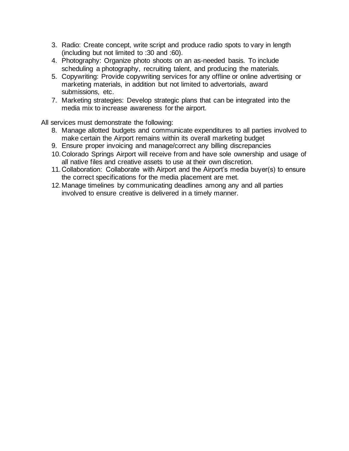- 3. Radio: Create concept, write script and produce radio spots to vary in length (including but not limited to :30 and :60).
- 4. Photography: Organize photo shoots on an as-needed basis. To include scheduling a photography, recruiting talent, and producing the materials.
- 5. Copywriting: Provide copywriting services for any offline or online advertising or marketing materials, in addition but not limited to advertorials, award submissions, etc.
- 7. Marketing strategies: Develop strategic plans that can be integrated into the media mix to increase awareness for the airport.

All services must demonstrate the following:

- 8. Manage allotted budgets and communicate expenditures to all parties involved to make certain the Airport remains within its overall marketing budget
- 9. Ensure proper invoicing and manage/correct any billing discrepancies
- 10.Colorado Springs Airport will receive from and have sole ownership and usage of all native files and creative assets to use at their own discretion.
- 11.Collaboration: Collaborate with Airport and the Airport's media buyer(s) to ensure the correct specifications for the media placement are met.
- 12.Manage timelines by communicating deadlines among any and all parties involved to ensure creative is delivered in a timely manner.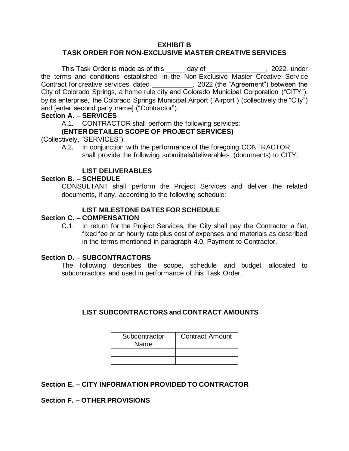### **EXHIBIT B TASK ORDER FOR NON-EXCLUSIVE MASTER CREATIVE SERVICES**

This Task Order is made as of this \_\_\_\_\_ day of \_\_\_\_\_\_\_\_\_\_\_\_\_\_\_, 2022, under the terms and conditions established in the Non-Exclusive Master Creative Service Contract for creative services, dated \_\_\_\_\_\_\_\_\_\_\_, 2022 (the "Agreement") between the City of Colorado Springs, a home rule city and Colorado Municipal Corporation ("CITY"), by its enterprise, the Colorado Springs Municipal Airport ("Airport") (collectively the "City") and [enter second party name] ("Contractor").

### **Section A. – SERVICES**

A.1. CONTRACTOR shall perform the following services:

# **(ENTER DETAILED SCOPE OF PROJECT SERVICES)**

(Collectively, "SERVICES").

A.2. In conjunction with the performance of the foregoing CONTRACTOR shall provide the following submittals/deliverables (documents) to CITY:

### **LIST DELIVERABLES**

#### **Section B. – SCHEDULE**

CONSULTANT shall perform the Project Services and deliver the related documents, if any, according to the following schedule:

# **LIST MILESTONE DATES FOR SCHEDULE**

### **Section C. – COMPENSATION**

C.1. In return for the Project Services, the City shall pay the Contractor a flat, fixed fee or an hourly rate plus cost of expenses and materials as described in the terms mentioned in paragraph 4.0, Payment to Contractor.

#### **Section D. – SUBCONTRACTORS**

The following describes the scope, schedule and budget allocated to subcontractors and used in performance of this Task Order.

# **LIST SUBCONTRACTORS and CONTRACT AMOUNTS**

| Subcontractor<br>Name | <b>Contract Amount</b> |
|-----------------------|------------------------|
|                       |                        |
|                       |                        |

# **Section E. – CITY INFORMATION PROVIDED TO CONTRACTOR**

**Section F. – OTHER PROVISIONS**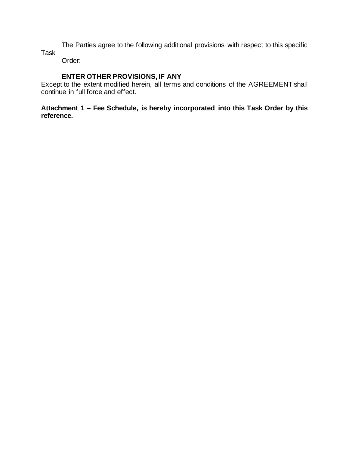The Parties agree to the following additional provisions with respect to this specific Task

Order:

# **ENTER OTHER PROVISIONS, IF ANY**

Except to the extent modified herein, all terms and conditions of the AGREEMENT shall continue in full force and effect.

**Attachment 1 – Fee Schedule, is hereby incorporated into this Task Order by this reference.**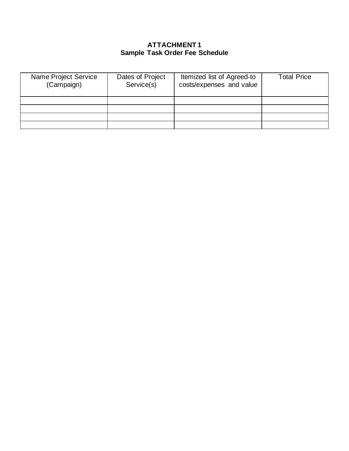# **ATTACHMENT 1 Sample Task Order Fee Schedule**

| Name Project Service<br>(Campaign) | Dates of Project<br>Service(s) | Itemized list of Agreed-to<br>costs/expenses and value | <b>Total Price</b> |
|------------------------------------|--------------------------------|--------------------------------------------------------|--------------------|
|                                    |                                |                                                        |                    |
|                                    |                                |                                                        |                    |
|                                    |                                |                                                        |                    |
|                                    |                                |                                                        |                    |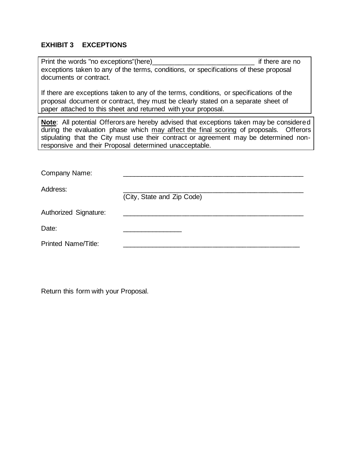# **EXHIBIT 3 EXCEPTIONS**

| exceptions taken to any of the terms, conditions, or specifications of these proposal                                                                                                                                                                                                                                               |                            | if there are no |  |
|-------------------------------------------------------------------------------------------------------------------------------------------------------------------------------------------------------------------------------------------------------------------------------------------------------------------------------------|----------------------------|-----------------|--|
| documents or contract.                                                                                                                                                                                                                                                                                                              |                            |                 |  |
| If there are exceptions taken to any of the terms, conditions, or specifications of the<br>proposal document or contract, they must be clearly stated on a separate sheet of<br>paper attached to this sheet and returned with your proposal.                                                                                       |                            |                 |  |
| Note: All potential Offerors are hereby advised that exceptions taken may be considered<br>during the evaluation phase which may affect the final scoring of proposals. Offerors<br>stipulating that the City must use their contract or agreement may be determined non-<br>responsive and their Proposal determined unacceptable. |                            |                 |  |
|                                                                                                                                                                                                                                                                                                                                     |                            |                 |  |
| Company Name:                                                                                                                                                                                                                                                                                                                       |                            |                 |  |
| Address:                                                                                                                                                                                                                                                                                                                            |                            |                 |  |
|                                                                                                                                                                                                                                                                                                                                     | (City, State and Zip Code) |                 |  |
| Authorized Signature:                                                                                                                                                                                                                                                                                                               |                            |                 |  |
| Date:                                                                                                                                                                                                                                                                                                                               |                            |                 |  |
| <b>Printed Name/Title:</b>                                                                                                                                                                                                                                                                                                          |                            |                 |  |

Return this form with your Proposal.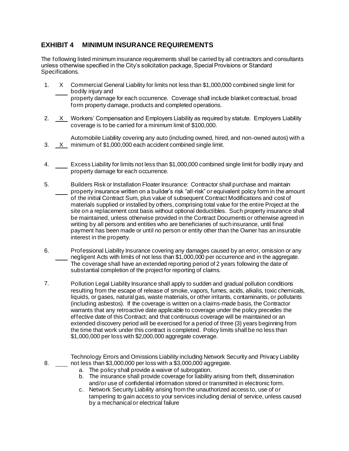### **EXHIBIT 4 MINIMUM INSURANCE REQUIREMENTS**

The following listed minimum insurance requirements shall be carried by all contractors and consultants unless otherwise specified in the City's solicitation package, Special Provisions or Standard Specifications.

1. X Commercial General Liability for limits not less than \$1,000,000 combined single limit for bodily injury and

property damage for each occurrence. Coverage shall include blanket contractual, broad form property damage, products and completed operations.

2. X Workers' Compensation and Employers Liability as required by statute. Employers Liability coverage is to be carried for a minimum limit of \$100,000.

3.  $X$  minimum of \$1,000,000 each accident combined single limit. Automobile Liability covering any auto (including owned, hired, and non-owned autos) with a

- 4. Excess Liability for limits not less than \$1,000,000 combined single limit for bodily injury and property damage for each occurrence.
- 5. Builders Risk or Installation Floater Insurance: Contractor shall purchase and maintain property insurance written on a builder's risk "all-risk" or equivalent policy form in the amount of the initial Contract Sum, plus value of subsequent Contract Modifications and cost of materials supplied or installed by others, comprising total value for the entire Project at the site on a replacement cost basis without optional deductibles. Such property insurance shall be maintained, unless otherwise provided in the Contract Documents or otherwise agreed in writing by all persons and entities who are beneficiaries of such insurance, until final payment has been made or until no person or entity other than the Owner has an insurable interest in the property.
- 6. Professional Liability Insurance covering any damages caused by an error, omission or any negligent Acts with limits of not less than \$1,000,000 per occurrence and in the aggregate. The coverage shall have an extended reporting period of 2 years following the date of substantial completion of the project for reporting of claims.
- 7. Pollution Legal Liability Insurance shall apply to sudden and gradual pollution conditions resulting from the escape of release of smoke, vapors, fumes, acids, alkalis, toxic chemicals, liquids, or gases, natural gas, waste materials, or other irritants, contaminants, or pollutants (including asbestos). If the coverage is written on a claims-made basis, the Contractor warrants that any retroactive date applicable to coverage under the policy precedes the effective date of this Contract; and that continuous coverage will be maintained or an extended discovery period will be exercised for a period of three (3) years beginning from the time that work under this contract is completed. Policy limits shall be no less than \$1,000,000 per loss with \$2,000,000 aggregate coverage.
- 8. Technology Errors and Omissions Liability including Network Security and Privacy Liability not less than \$3,000,000 per loss with a \$3,000,000 aggregate.
	- a. The policy shall provide a waiver of subrogation.
	- b. The insurance shall provide coverage for liability arising from theft, dissemination and/or use of confidential information stored or transmitted in electronic form.
	- c. Network Security Liability arising from the unauthorized access to, use of or tampering to gain access to your services including denial of service, unless caused by a mechanical or electrical failure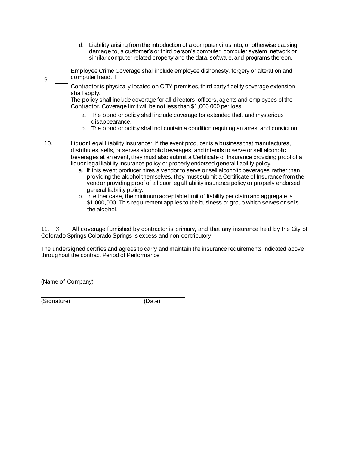d. Liability arising from the introduction of a computer virus into, or otherwise causing damage to, a customer's or third person's computer, computer system, network or similar computer related property and the data, software, and programs thereon.

Employee Crime Coverage shall include employee dishonesty, forgery or alteration and computer fraud. If

Contractor is physically located on CITY premises, third party fidelity coverage extension shall apply.

The policy shall include coverage for all directors, officers, agents and employees of the Contractor. Coverage limit will be not less than \$1,000,000 per loss.

- a. The bond or policy shall include coverage for extended theft and mysterious disappearance.
- b. The bond or policy shall not contain a condition requiring an arrest and conviction.
- 10. Liquor Legal Liability Insurance: If the event producer is a business that manufactures, distributes, sells, or serves alcoholic beverages, and intends to serve or sell alcoholic beverages at an event, they must also submit a Certificate of Insurance providing proof of a liquor legal liability insurance policy or properly endorsed general liability policy.
	- a. If this event producer hires a vendor to serve or sell alcoholic beverages, rather than providing the alcohol themselves, they must submit a Certificate of Insurance from the vendor providing proof of a liquor legal liability insurance policy or properly endorsed general liability policy.
	- b. In either case, the minimum acceptable limit of liability per claim and aggregate is \$1,000,000. This requirement applies to the business or group which serves or sells the alcohol.

11. X All coverage furnished by contractor is primary, and that any insurance held by the City of Colorado Springs Colorado Springs is excess and non-contributory.

The undersigned certifies and agrees to carry and maintain the insurance requirements indicated above throughout the contract Period of Performance

(Name of Company)

(Signature) (Date)

9.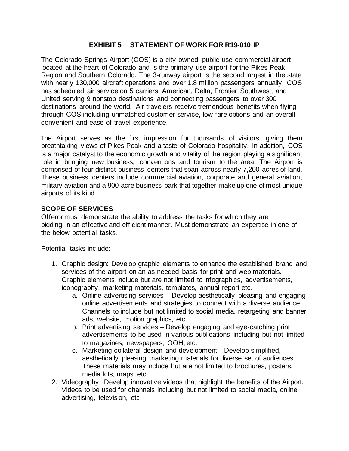#### **EXHIBIT 5 STATEMENT OF WORK FOR R19-010 IP**

The Colorado Springs Airport (COS) is a city-owned, public-use commercial airport located at the heart of Colorado and is the primary-use airport for the Pikes Peak Region and Southern Colorado. The 3-runway airport is the second largest in the state with nearly 130,000 aircraft operations and over 1.8 million passengers annually. COS has scheduled air service on 5 carriers, American, Delta, Frontier Southwest, and United serving 9 nonstop destinations and connecting passengers to over 300 destinations around the world. Air travelers receive tremendous benefits when flying through COS including unmatched customer service, low fare options and an overall convenient and ease-of-travel experience.

 The Airport serves as the first impression for thousands of visitors, giving them breathtaking views of Pikes Peak and a taste of Colorado hospitality. In addition, COS is a major catalyst to the economic growth and vitality of the region playing a significant role in bringing new business, conventions and tourism to the area. The Airport is comprised of four distinct business centers that span across nearly 7,200 acres of land. These business centers include commercial aviation, corporate and general aviation, military aviation and a 900-acre business park that together make up one of most unique airports of its kind.

#### **SCOPE OF SERVICES**

Offeror must demonstrate the ability to address the tasks for which they are bidding in an effective and efficient manner. Must demonstrate an expertise in one of the below potential tasks.

Potential tasks include:

- 1. Graphic design: Develop graphic elements to enhance the established brand and services of the airport on an as-needed basis for print and web materials. Graphic elements include but are not limited to infographics, advertisements, iconography, marketing materials, templates, annual report etc.
	- a. Online advertising services Develop aesthetically pleasing and engaging online advertisements and strategies to connect with a diverse audience. Channels to include but not limited to social media, retargeting and banner ads, website, motion graphics, etc.
	- b. Print advertising services Develop engaging and eye-catching print advertisements to be used in various publications including but not limited to magazines, newspapers, OOH, etc.
	- c. Marketing collateral design and development Develop simplified, aesthetically pleasing marketing materials for diverse set of audiences. These materials may include but are not limited to brochures, posters, media kits, maps, etc.
- 2. Videography: Develop innovative videos that highlight the benefits of the Airport. Videos to be used for channels including but not limited to social media, online advertising, television, etc.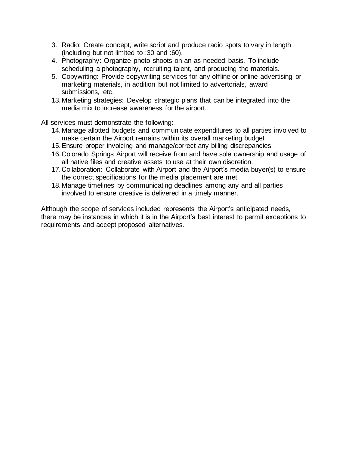- 3. Radio: Create concept, write script and produce radio spots to vary in length (including but not limited to :30 and :60).
- 4. Photography: Organize photo shoots on an as-needed basis. To include scheduling a photography, recruiting talent, and producing the materials.
- 5. Copywriting: Provide copywriting services for any offline or online advertising or marketing materials, in addition but not limited to advertorials, award submissions, etc.
- 13.Marketing strategies: Develop strategic plans that can be integrated into the media mix to increase awareness for the airport.

All services must demonstrate the following:

- 14.Manage allotted budgets and communicate expenditures to all parties involved to make certain the Airport remains within its overall marketing budget
- 15.Ensure proper invoicing and manage/correct any billing discrepancies
- 16.Colorado Springs Airport will receive from and have sole ownership and usage of all native files and creative assets to use at their own discretion.
- 17.Collaboration: Collaborate with Airport and the Airport's media buyer(s) to ensure the correct specifications for the media placement are met.
- 18.Manage timelines by communicating deadlines among any and all parties involved to ensure creative is delivered in a timely manner.

Although the scope of services included represents the Airport's anticipated needs, there may be instances in which it is in the Airport's best interest to permit exceptions to requirements and accept proposed alternatives.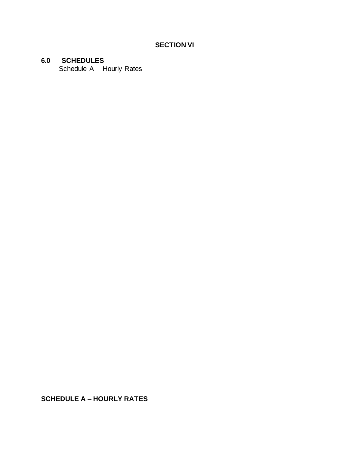## **6.0 SCHEDULES**

Schedule A Hourly Rates

**SCHEDULE A – HOURLY RATES**